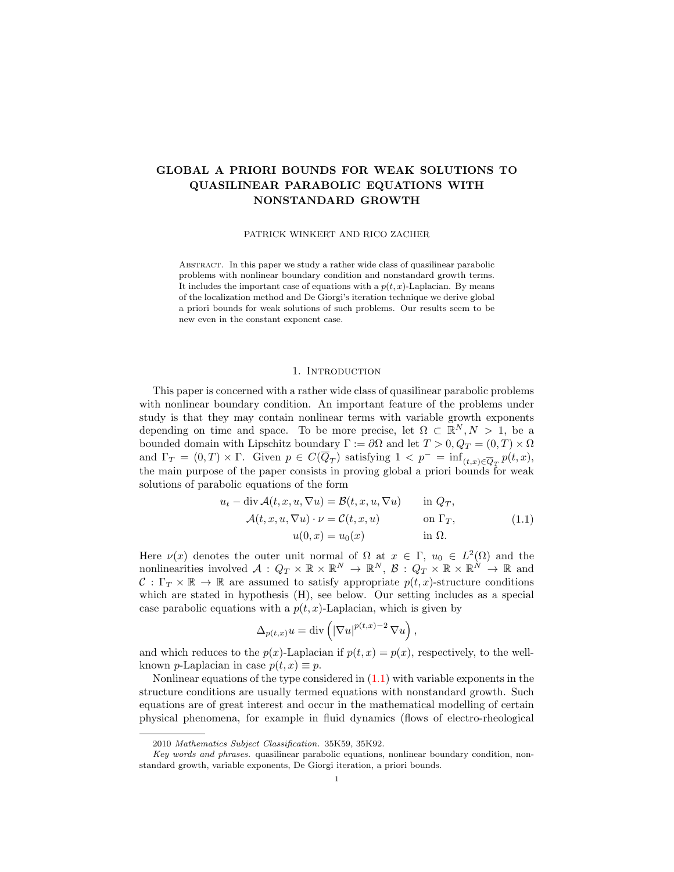# GLOBAL A PRIORI BOUNDS FOR WEAK SOLUTIONS TO QUASILINEAR PARABOLIC EQUATIONS WITH NONSTANDARD GROWTH

PATRICK WINKERT AND RICO ZACHER

Abstract. In this paper we study a rather wide class of quasilinear parabolic problems with nonlinear boundary condition and nonstandard growth terms. It includes the important case of equations with a  $p(t, x)$ -Laplacian. By means of the localization method and De Giorgi's iteration technique we derive global a priori bounds for weak solutions of such problems. Our results seem to be new even in the constant exponent case.

#### 1. INTRODUCTION

This paper is concerned with a rather wide class of quasilinear parabolic problems with nonlinear boundary condition. An important feature of the problems under study is that they may contain nonlinear terms with variable growth exponents depending on time and space. To be more precise, let  $\Omega \subset \mathbb{R}^N, N > 1$ , be a bounded domain with Lipschitz boundary  $\Gamma := \partial \Omega$  and let  $T > 0$ ,  $Q_T = (0, T) \times \Omega$ and  $\Gamma_T = (0,T) \times \Gamma$ . Given  $p \in C(\overline{Q}_T)$  satisfying  $1 < p^- = \inf_{(t,x) \in \overline{Q}_T} p(t,x)$ , the main purpose of the paper consists in proving global a priori bounds for weak solutions of parabolic equations of the form

<span id="page-0-0"></span>
$$
u_t - \operatorname{div} \mathcal{A}(t, x, u, \nabla u) = \mathcal{B}(t, x, u, \nabla u) \quad \text{in } Q_T,
$$
  

$$
\mathcal{A}(t, x, u, \nabla u) \cdot \nu = \mathcal{C}(t, x, u) \quad \text{on } \Gamma_T,
$$
  

$$
u(0, x) = u_0(x) \quad \text{in } \Omega.
$$
 (1.1)

Here  $\nu(x)$  denotes the outer unit normal of  $\Omega$  at  $x \in \Gamma$ ,  $u_0 \in L^2(\Omega)$  and the nonlinearities involved  $A: Q_T \times \mathbb{R} \times \mathbb{R}^N \to \mathbb{R}^N$ ,  $B: Q_T \times \mathbb{R} \times \mathbb{R}^N \to \mathbb{R}$  and  $C: \Gamma_T \times \mathbb{R} \to \mathbb{R}$  are assumed to satisfy appropriate  $p(t, x)$ -structure conditions which are stated in hypothesis (H), see below. Our setting includes as a special case parabolic equations with a  $p(t, x)$ -Laplacian, which is given by

$$
\Delta_{p(t,x)} u = \text{div}\left( |\nabla u|^{p(t,x)-2} \nabla u \right),
$$

and which reduces to the  $p(x)$ -Laplacian if  $p(t, x) = p(x)$ , respectively, to the wellknown *p*-Laplacian in case  $p(t, x) \equiv p$ .

Nonlinear equations of the type considered in  $(1.1)$  with variable exponents in the structure conditions are usually termed equations with nonstandard growth. Such equations are of great interest and occur in the mathematical modelling of certain physical phenomena, for example in fluid dynamics (flows of electro-rheological

<sup>2010</sup> Mathematics Subject Classification. 35K59, 35K92.

Key words and phrases. quasilinear parabolic equations, nonlinear boundary condition, nonstandard growth, variable exponents, De Giorgi iteration, a priori bounds.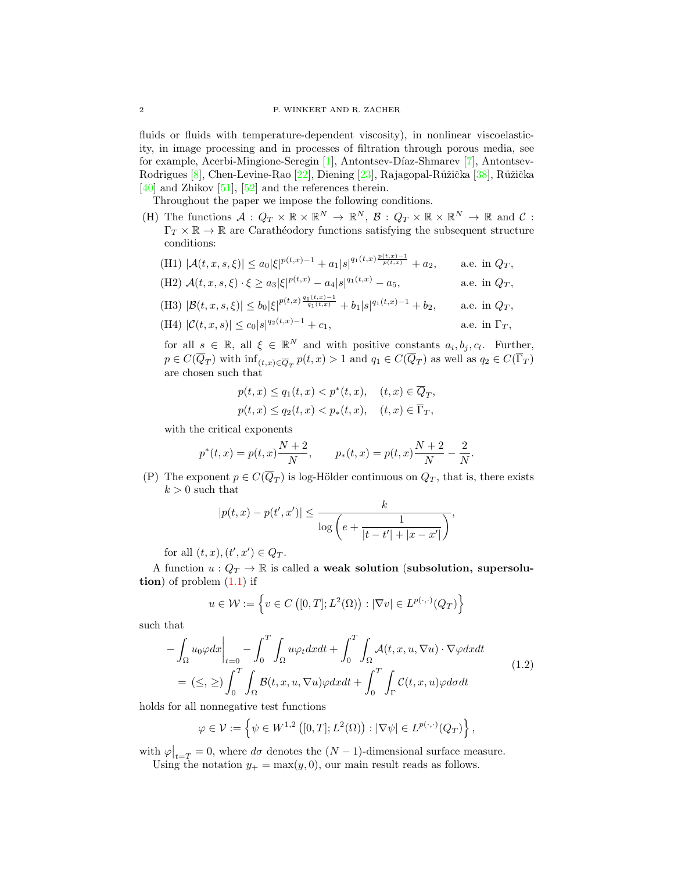fluids or fluids with temperature-dependent viscosity), in nonlinear viscoelasticity, in image processing and in processes of filtration through porous media, see for example, Acerbi-Mingione-Seregin [\[1\]](#page-25-0), Antontsev-D´ıaz-Shmarev [\[7\]](#page-26-0), Antontsev-Rodrigues [\[8\]](#page-26-1), Chen-Levine-Rao [\[22\]](#page-26-2), Diening [\[23\]](#page-26-3), Rajagopal-Růžička [\[38\]](#page-27-0), Růžička  $[40]$  and Zhikov  $[51]$ ,  $[52]$  and the references therein.

Throughout the paper we impose the following conditions.

(H) The functions  $\mathcal{A}: Q_T \times \mathbb{R} \times \mathbb{R}^N \to \mathbb{R}^N$ ,  $\mathcal{B}: Q_T \times \mathbb{R} \times \mathbb{R}^N \to \mathbb{R}$  and  $\mathcal{C}:$  $\Gamma_T \times \mathbb{R} \to \mathbb{R}$  are Carathéodory functions satisfying the subsequent structure conditions:  $p(t, x) = 1$ 

(H1) 
$$
|\mathcal{A}(t,x,s,\xi)| \leq a_0 |\xi|^{p(t,x)-1} + a_1 |s|^{q_1(t,x)} \frac{p(t,x)-1}{p(t,x)} + a_2
$$
, a.e. in  $Q_T$ ,

(H2) 
$$
\mathcal{A}(t, x, s, \xi) \cdot \xi \ge a_3 |\xi|^{p(t, x)} - a_4 |s|^{q_1(t, x)} - a_5
$$
, a.e. in  $Q_T$ ,

(H3) 
$$
|\mathcal{B}(t, x, s, \xi)| \le b_0 |\xi|^{p(t, x) \frac{q_1(t, x) - 1}{q_1(t, x)}} + b_1 |s|^{q_1(t, x) - 1} + b_2
$$
, a.e. in  $Q_T$ ,

(H4) 
$$
|\mathcal{C}(t,x,s)| \leq c_0 |s|^{q_2(t,x)-1} + c_1,
$$
 a.e. in  $\Gamma_T$ ,

for all  $s \in \mathbb{R}$ , all  $\xi \in \mathbb{R}^N$  and with positive constants  $a_i, b_j, c_l$ . Further,  $p \in C(\overline{Q}_T)$  with  $\inf_{(t,x) \in \overline{Q}_T} p(t,x) > 1$  and  $q_1 \in C(\overline{Q}_T)$  as well as  $q_2 \in C(\overline{\Gamma}_T)$ are chosen such that

$$
p(t,x) \le q_1(t,x) < p^*(t,x), \quad (t,x) \in \overline{Q}_T,
$$
\n
$$
p(t,x) \le q_2(t,x) < p_*(t,x), \quad (t,x) \in \overline{\Gamma}_T,
$$

with the critical exponents

$$
p^*(t, x) = p(t, x) \frac{N+2}{N},
$$
  $p_*(t, x) = p(t, x) \frac{N+2}{N} - \frac{2}{N}.$ 

(P) The exponent  $p \in C(\overline{Q}_T)$  is log-Hölder continuous on  $Q_T$ , that is, there exists  $k>0$  such that

$$
|p(t,x) - p(t',x')| \le \frac{k}{\log\left(e + \frac{1}{|t - t'| + |x - x'|}\right)},
$$

for all  $(t, x), (t', x') \in Q_T$ .

A function  $u: Q_T \to \mathbb{R}$  is called a weak solution (subsolution, supersolution) of problem  $(1.1)$  if

<span id="page-1-0"></span>
$$
u \in \mathcal{W} := \left\{ v \in C\left( [0, T]; L^2(\Omega) \right) : |\nabla v| \in L^{p(\cdot, \cdot)}(Q_T) \right\}
$$

such that

$$
-\int_{\Omega} u_0 \varphi dx \Big|_{t=0} - \int_0^T \int_{\Omega} u \varphi_t dx dt + \int_0^T \int_{\Omega} \mathcal{A}(t, x, u, \nabla u) \cdot \nabla \varphi dx dt
$$
  
=  $(\leq, \geq) \int_0^T \int_{\Omega} \mathcal{B}(t, x, u, \nabla u) \varphi dx dt + \int_0^T \int_{\Gamma} \mathcal{C}(t, x, u) \varphi d\sigma dt$  (1.2)

holds for all nonnegative test functions

$$
\varphi \in \mathcal{V} := \left\{ \psi \in W^{1,2}\left( [0,T]; L^2(\Omega) \right) : |\nabla \psi| \in L^{p(\cdot,\cdot)}(Q_T) \right\},\
$$

with  $\varphi|_{t=T} = 0$ , where  $d\sigma$  denotes the  $(N-1)$ -dimensional surface measure. Using the notation  $y_+ = \max(y, 0)$ , our main result reads as follows.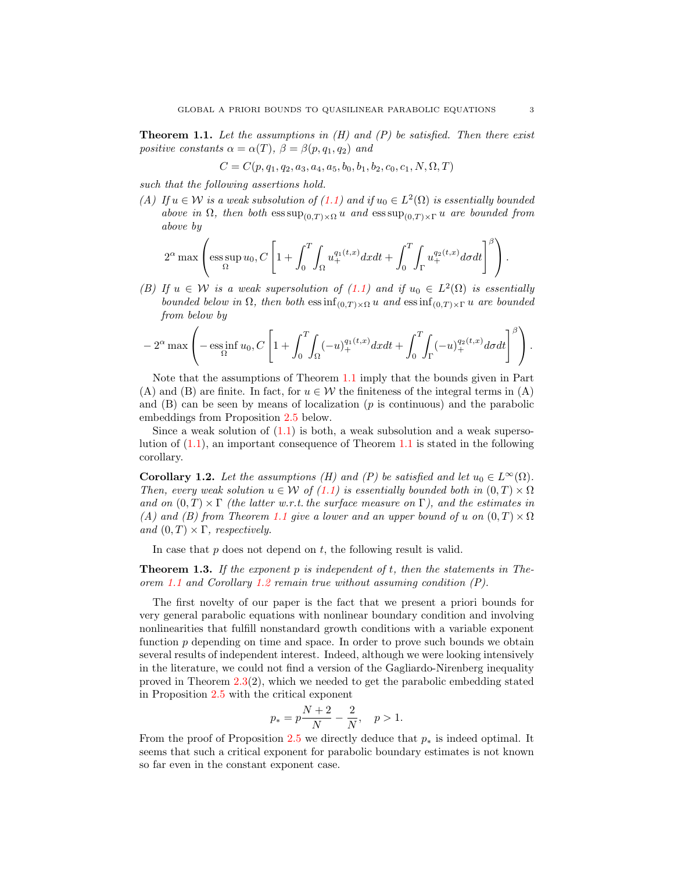<span id="page-2-0"></span>**Theorem 1.1.** Let the assumptions in  $(H)$  and  $(P)$  be satisfied. Then there exist positive constants  $\alpha = \alpha(T)$ ,  $\beta = \beta(p, q_1, q_2)$  and

$$
C = C(p, q_1, q_2, a_3, a_4, a_5, b_0, b_1, b_2, c_0, c_1, N, \Omega, T)
$$

such that the following assertions hold.

(A) If  $u \in \mathcal{W}$  is a weak subsolution of  $(1.1)$  and if  $u_0 \in L^2(\Omega)$  is essentially bounded above in  $\Omega$ , then both  $\operatorname{ess} \sup_{(0,T)\times \Omega} u$  and  $\operatorname{ess} \sup_{(0,T)\times \Gamma} u$  are bounded from above by

$$
2^{\alpha} \max \left( \operatorname*{ess\,sup}_{\Omega} u_0, C \left[ 1 + \int_0^T \int_{\Omega} u_+^{q_1(t,x)} dx dt + \int_0^T \int_{\Gamma} u_+^{q_2(t,x)} d\sigma dt \right]^{\beta} \right).
$$

(B) If  $u \in \mathcal{W}$  is a weak supersolution of [\(1.1\)](#page-0-0) and if  $u_0 \in L^2(\Omega)$  is essentially bounded below in  $\Omega$ , then both  $\operatorname{ess\,inf}_{(0,T)\times\Omega} u$  and  $\operatorname{ess\,inf}_{(0,T)\times\Gamma} u$  are bounded from below by

$$
-2^{\alpha}\max_{\Omega}\left(-\operatorname*{ess\,inf}_{\Omega}u_0,C\left[1+\int_0^T\!\!\int_{\Omega}(-u)_+^{q_1(t,x)}dxdt+\int_0^T\!\!\int_{\Gamma}(-u)_+^{q_2(t,x)}d\sigma dt\right]^\beta\right).
$$

Note that the assumptions of Theorem [1.1](#page-2-0) imply that the bounds given in Part (A) and (B) are finite. In fact, for  $u \in \mathcal{W}$  the finiteness of the integral terms in (A) and  $(B)$  can be seen by means of localization ( $p$  is continuous) and the parabolic embeddings from Proposition [2.5](#page-7-0) below.

Since a weak solution of  $(1.1)$  is both, a weak subsolution and a weak supersolution of [\(1.1\)](#page-0-0), an important consequence of Theorem [1.1](#page-2-0) is stated in the following corollary.

<span id="page-2-1"></span>**Corollary 1.2.** Let the assumptions (H) and (P) be satisfied and let  $u_0 \in L^{\infty}(\Omega)$ . Then, every weak solution  $u \in \mathcal{W}$  of [\(1.1\)](#page-0-0) is essentially bounded both in  $(0, T) \times \Omega$ and on  $(0, T) \times \Gamma$  (the latter w.r.t. the surface measure on  $\Gamma$ ), and the estimates in (A) and (B) from Theorem [1.1](#page-2-0) give a lower and an upper bound of u on  $(0, T) \times \Omega$ and  $(0, T) \times \Gamma$ , respectively.

In case that  $p$  does not depend on  $t$ , the following result is valid.

**Theorem 1.3.** If the exponent p is independent of  $t$ , then the statements in The-orem [1.1](#page-2-0) and Corollary [1.2](#page-2-1) remain true without assuming condition  $(P)$ .

The first novelty of our paper is the fact that we present a priori bounds for very general parabolic equations with nonlinear boundary condition and involving nonlinearities that fulfill nonstandard growth conditions with a variable exponent function  $p$  depending on time and space. In order to prove such bounds we obtain several results of independent interest. Indeed, although we were looking intensively in the literature, we could not find a version of the Gagliardo-Nirenberg inequality proved in Theorem [2.3\(](#page-5-0)2), which we needed to get the parabolic embedding stated in Proposition [2.5](#page-7-0) with the critical exponent

$$
p_* = p\frac{N+2}{N} - \frac{2}{N}, \quad p > 1.
$$

From the proof of Proposition [2.5](#page-7-0) we directly deduce that  $p_*$  is indeed optimal. It seems that such a critical exponent for parabolic boundary estimates is not known so far even in the constant exponent case.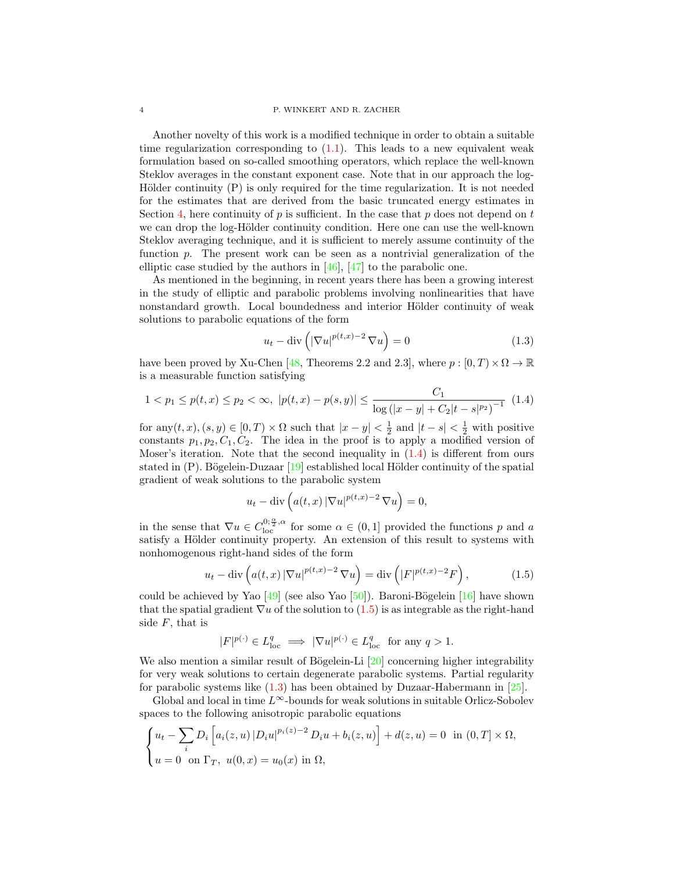Another novelty of this work is a modified technique in order to obtain a suitable time regularization corresponding to  $(1.1)$ . This leads to a new equivalent weak formulation based on so-called smoothing operators, which replace the well-known Steklov averages in the constant exponent case. Note that in our approach the log-Hölder continuity  $(P)$  is only required for the time regularization. It is not needed for the estimates that are derived from the basic truncated energy estimates in Section [4,](#page-11-0) here continuity of  $p$  is sufficient. In the case that  $p$  does not depend on  $t$ we can drop the log-Hölder continuity condition. Here one can use the well-known Steklov averaging technique, and it is sufficient to merely assume continuity of the function p. The present work can be seen as a nontrivial generalization of the elliptic case studied by the authors in [\[46\]](#page-27-4), [\[47\]](#page-27-5) to the parabolic one.

As mentioned in the beginning, in recent years there has been a growing interest in the study of elliptic and parabolic problems involving nonlinearities that have nonstandard growth. Local boundedness and interior Hölder continuity of weak solutions to parabolic equations of the form

<span id="page-3-2"></span><span id="page-3-0"></span>
$$
u_t - \operatorname{div}\left(|\nabla u|^{p(t,x)-2}\nabla u\right) = 0\tag{1.3}
$$

have been proved by Xu-Chen [\[48,](#page-27-6) Theorems 2.2 and 2.3], where  $p : [0, T) \times \Omega \to \mathbb{R}$ is a measurable function satisfying

$$
1 < p_1 \le p(t, x) \le p_2 < \infty, \ |p(t, x) - p(s, y)| \le \frac{C_1}{\log\left(|x - y| + C_2|t - s|^{p_2}\right)^{-1}} \tag{1.4}
$$

for  $\text{any}(t, x), (s, y) \in [0, T) \times \Omega$  such that  $|x - y| < \frac{1}{2}$  and  $|t - s| < \frac{1}{2}$  with positive constants  $p_1, p_2, C_1, C_2$ . The idea in the proof is to apply a modified version of Moser's iteration. Note that the second inequality in  $(1.4)$  is different from ours stated in  $(P)$ . Bögelein-Duzaar  $[19]$  established local Hölder continuity of the spatial gradient of weak solutions to the parabolic system

<span id="page-3-1"></span>
$$
u_t - \operatorname{div}\left(a(t, x) \left|\nabla u\right|^{p(t, x)-2} \nabla u\right) = 0,
$$

in the sense that  $\nabla u \in C_{\text{loc}}^{0; \frac{\alpha}{2}, \alpha}$  for some  $\alpha \in (0, 1]$  provided the functions p and a satisfy a Hölder continuity property. An extension of this result to systems with nonhomogenous right-hand sides of the form

$$
u_t - \operatorname{div}\left(a(t,x) \left|\nabla u\right|^{p(t,x)-2} \nabla u\right) = \operatorname{div}\left(|F|^{p(t,x)-2} F\right),\tag{1.5}
$$

could be achieved by Yao  $\left[49\right]$  (see also Yao  $\left[50\right]$ ). Baroni-Bögelein  $\left[16\right]$  have shown that the spatial gradient  $\nabla u$  of the solution to [\(1.5\)](#page-3-1) is as integrable as the right-hand side  $F$ , that is

$$
|F|^{p(\cdot)} \in L^q_{loc} \implies |\nabla u|^{p(\cdot)} \in L^q_{loc} \text{ for any } q > 1.
$$

We also mention a similar result of Bögelein-Li  $[20]$  concerning higher integrability for very weak solutions to certain degenerate parabolic systems. Partial regularity for parabolic systems like  $(1.3)$  has been obtained by Duzaar-Habermann in [\[25\]](#page-26-7).

Global and local in time  $L^{\infty}$ -bounds for weak solutions in suitable Orlicz-Sobolev spaces to the following anisotropic parabolic equations

$$
\begin{cases} u_t - \sum_i D_i \left[ a_i(z, u) | D_i u |^{p_i(z) - 2} D_i u + b_i(z, u) \right] + d(z, u) = 0 & \text{in } (0, T] \times \Omega, \\ u = 0 & \text{on } \Gamma_T, \ u(0, x) = u_0(x) & \text{in } \Omega, \end{cases}
$$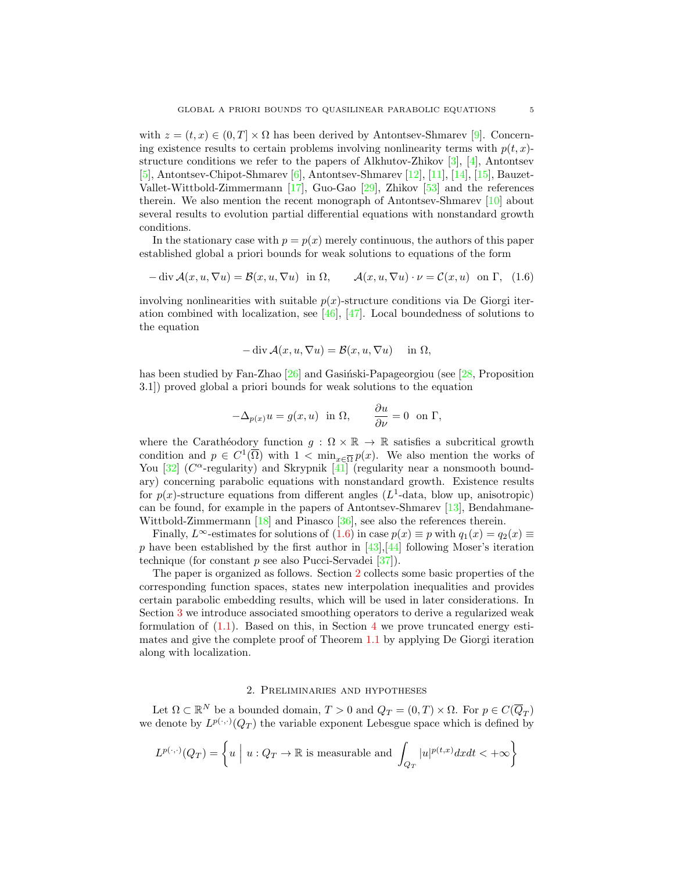with  $z = (t, x) \in (0, T] \times \Omega$  has been derived by Antontsev-Shmarev [\[9\]](#page-26-8). Concerning existence results to certain problems involving nonlinearity terms with  $p(t, x)$ structure conditions we refer to the papers of Alkhutov-Zhikov  $[3]$ ,  $[4]$ , Antontsev [\[5\]](#page-26-11), Antontsev-Chipot-Shmarev [\[6\]](#page-26-12), Antontsev-Shmarev [\[12\]](#page-26-13), [\[11\]](#page-26-14), [\[14\]](#page-26-15), [\[15\]](#page-26-16), Bauzet-Vallet-Wittbold-Zimmermann [\[17\]](#page-26-17), Guo-Gao [\[29\]](#page-26-18), Zhikov [\[53\]](#page-27-9) and the references therein. We also mention the recent monograph of Antontsev-Shmarev [\[10\]](#page-26-19) about several results to evolution partial differential equations with nonstandard growth conditions.

In the stationary case with  $p = p(x)$  merely continuous, the authors of this paper established global a priori bounds for weak solutions to equations of the form

$$
-\operatorname{div} \mathcal{A}(x, u, \nabla u) = \mathcal{B}(x, u, \nabla u) \text{ in } \Omega, \qquad \mathcal{A}(x, u, \nabla u) \cdot \nu = \mathcal{C}(x, u) \text{ on } \Gamma, \tag{1.6}
$$

involving nonlinearities with suitable  $p(x)$ -structure conditions via De Giorgi iteration combined with localization, see [\[46\]](#page-27-4), [\[47\]](#page-27-5). Local boundedness of solutions to the equation

<span id="page-4-0"></span>
$$
-\operatorname{div} \mathcal{A}(x, u, \nabla u) = \mathcal{B}(x, u, \nabla u) \quad \text{in } \Omega,
$$

has been studied by Fan-Zhao  $[26]$  and Gasiński-Papageorgiou (see [\[28,](#page-26-21) Proposition 3.1]) proved global a priori bounds for weak solutions to the equation

$$
-\Delta_{p(x)}u = g(x, u) \text{ in } \Omega, \qquad \frac{\partial u}{\partial \nu} = 0 \text{ on } \Gamma,
$$

where the Carathéodory function  $g : \Omega \times \mathbb{R} \to \mathbb{R}$  satisfies a subcritical growth condition and  $p \in C^1(\overline{\Omega})$  with  $1 < \min_{x \in \overline{\Omega}} p(x)$ . We also mention the works of You  $[32]$  ( $C^{\alpha}$ -regularity) and Skrypnik  $[41]$  (regularity near a nonsmooth boundary) concerning parabolic equations with nonstandard growth. Existence results for  $p(x)$ -structure equations from different angles  $(L^1$ -data, blow up, anisotropic) can be found, for example in the papers of Antontsev-Shmarev [\[13\]](#page-26-22), Bendahmane-Wittbold-Zimmermann [\[18\]](#page-26-23) and Pinasco [\[36\]](#page-27-12), see also the references therein.

Finally,  $L^{\infty}$ -estimates for solutions of  $(1.6)$  in case  $p(x) \equiv p$  with  $q_1(x) = q_2(x) \equiv$ p have been established by the first author in  $[43],[44]$  $[43],[44]$  following Moser's iteration technique (for constant  $p$  see also Pucci-Servadei [\[37\]](#page-27-15)).

The paper is organized as follows. Section [2](#page-4-1) collects some basic properties of the corresponding function spaces, states new interpolation inequalities and provides certain parabolic embedding results, which will be used in later considerations. In Section [3](#page-9-0) we introduce associated smoothing operators to derive a regularized weak formulation of  $(1.1)$ . Based on this, in Section [4](#page-11-0) we prove truncated energy estimates and give the complete proof of Theorem [1.1](#page-2-0) by applying De Giorgi iteration along with localization.

# 2. Preliminaries and hypotheses

<span id="page-4-1"></span>Let  $\Omega \subset \mathbb{R}^N$  be a bounded domain,  $T > 0$  and  $Q_T = (0, T) \times \Omega$ . For  $p \in C(\overline{Q}_T)$ we denote by  $L^{p(\cdot,\cdot)}(Q_T)$  the variable exponent Lebesgue space which is defined by

$$
L^{p(\cdot,\cdot)}(Q_T) = \left\{ u \mid u: Q_T \to \mathbb{R} \text{ is measurable and } \int_{Q_T} |u|^{p(t,x)} dx dt < +\infty \right\}
$$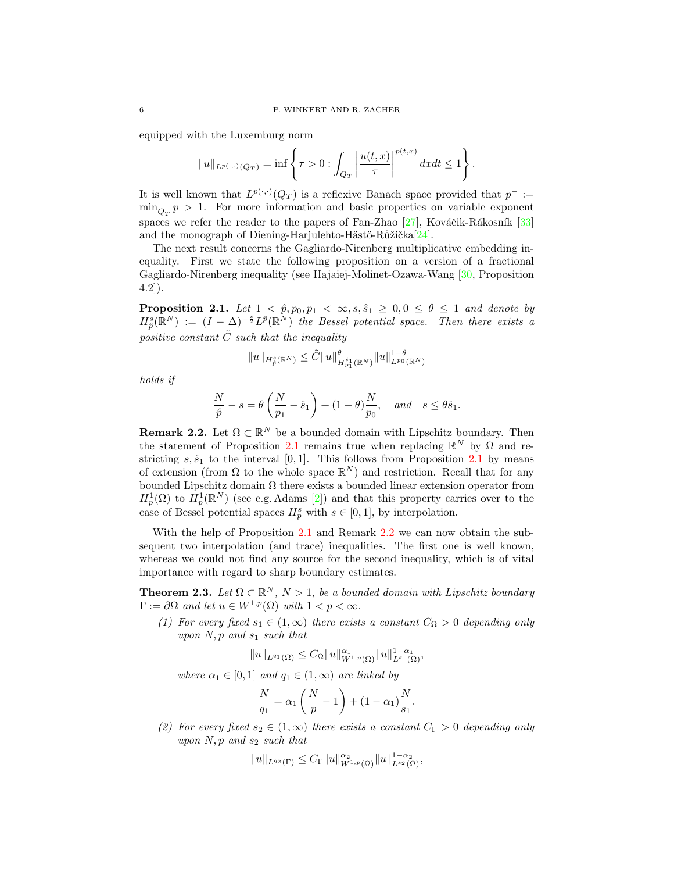equipped with the Luxemburg norm

$$
||u||_{L^{p(\cdot,\cdot)}(Q_T)} = \inf \left\{ \tau > 0 : \int_{Q_T} \left| \frac{u(t,x)}{\tau} \right|^{p(t,x)} dx dt \le 1 \right\}.
$$

It is well known that  $L^{p(\cdot,\cdot)}(Q_T)$  is a reflexive Banach space provided that  $p^- :=$  $\min_{\overline{Q}_T} p > 1$ . For more information and basic properties on variable exponent spaces we refer the reader to the papers of Fan-Zhao  $[27]$ , Kováčik-Rákosník  $[33]$ and the monograph of Diening-Harjulehto-Hästö-Růžička $[24]$ .

The next result concerns the Gagliardo-Nirenberg multiplicative embedding inequality. First we state the following proposition on a version of a fractional Gagliardo-Nirenberg inequality (see Hajaiej-Molinet-Ozawa-Wang [\[30,](#page-27-17) Proposition 4.2]).

<span id="page-5-1"></span>**Proposition 2.1.** Let  $1 < \hat{p}, p_0, p_1 < \infty, s, \hat{s}_1 \geq 0, 0 \leq \theta \leq 1$  and denote by  $H^s_{\hat{p}}(\mathbb{R}^N) := (I - \Delta)^{-\frac{s}{2}} L^{\hat{p}}(\mathbb{R}^N)$  the Bessel potential space. Then there exists a positive constant  $\tilde{C}$  such that the inequality

$$
||u||_{H_{\hat{p}}^{s}(\mathbb{R}^{N})}\leq \tilde{C}||u||_{H_{p_{1}}^{\hat{s}_{1}}(\mathbb{R}^{N})}^{\theta}||u||_{L^{p_{0}}(\mathbb{R}^{N})}^{1-\theta}
$$

holds if

$$
\frac{N}{\hat{p}} - s = \theta \left( \frac{N}{p_1} - \hat{s}_1 \right) + (1 - \theta) \frac{N}{p_0}, \quad \text{and} \quad s \le \theta \hat{s}_1.
$$

<span id="page-5-2"></span>**Remark 2.2.** Let  $\Omega \subset \mathbb{R}^N$  be a bounded domain with Lipschitz boundary. Then the statement of Proposition [2.1](#page-5-1) remains true when replacing  $\mathbb{R}^N$  by  $\Omega$  and restricting  $s, \hat{s}_1$  to the interval [0,1]. This follows from Proposition [2.1](#page-5-1) by means of extension (from  $\Omega$  to the whole space  $\mathbb{R}^N$ ) and restriction. Recall that for any bounded Lipschitz domain  $\Omega$  there exists a bounded linear extension operator from  $H_p^1(\Omega)$  to  $H_p^1(\mathbb{R}^N)$  (see e.g. Adams [\[2\]](#page-26-26)) and that this property carries over to the case of Bessel potential spaces  $H_p^s$  with  $s \in [0,1]$ , by interpolation.

With the help of Proposition [2.1](#page-5-1) and Remark [2.2](#page-5-2) we can now obtain the subsequent two interpolation (and trace) inequalities. The first one is well known, whereas we could not find any source for the second inequality, which is of vital importance with regard to sharp boundary estimates.

<span id="page-5-0"></span>**Theorem 2.3.** Let  $\Omega \subset \mathbb{R}^N$ ,  $N > 1$ , be a bounded domain with Lipschitz boundary  $\Gamma := \partial \Omega$  and let  $u \in W^{1,p}(\Omega)$  with  $1 < p < \infty$ .

(1) For every fixed  $s_1 \in (1,\infty)$  there exists a constant  $C_{\Omega} > 0$  depending only upon  $N, p$  and  $s_1$  such that

$$
||u||_{L^{q_1}(\Omega)} \leq C_{\Omega} ||u||_{W^{1,p}(\Omega)}^{\alpha_1} ||u||_{L^{s_1}(\Omega)}^{1-\alpha_1},
$$

where  $\alpha_1 \in [0,1]$  and  $q_1 \in (1,\infty)$  are linked by

$$
\frac{N}{q_1} = \alpha_1 \left(\frac{N}{p} - 1\right) + (1 - \alpha_1) \frac{N}{s_1}.
$$

(2) For every fixed  $s_2 \in (1,\infty)$  there exists a constant  $C_{\Gamma} > 0$  depending only upon  $N$ , p and  $s_2$  such that

$$
||u||_{L^{q_2}(\Gamma)} \leq C_{\Gamma} ||u||_{W^{1,p}(\Omega)}^{\alpha_2} ||u||_{L^{s_2}(\Omega)}^{1-\alpha_2},
$$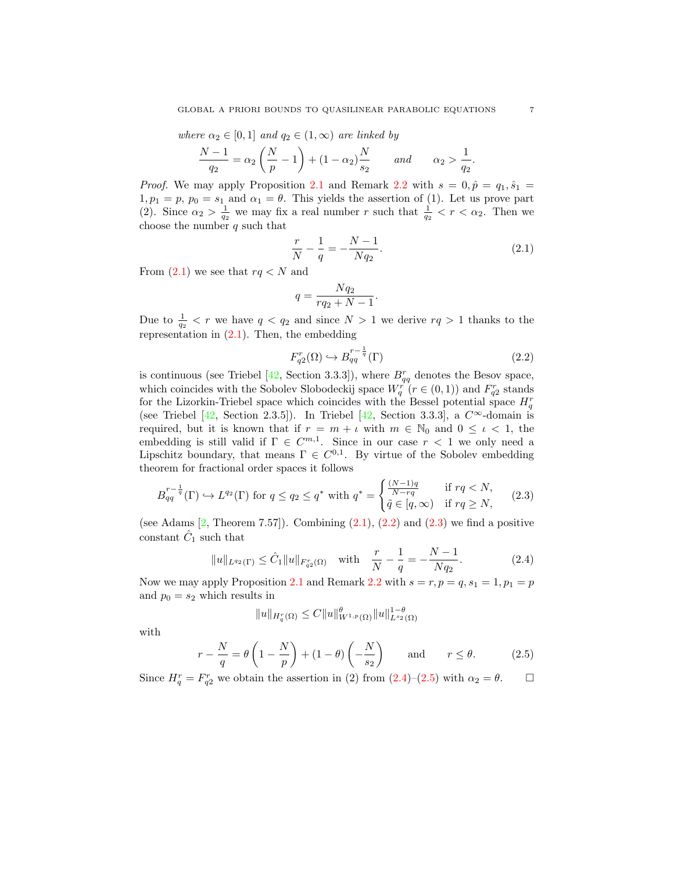where  $\alpha_2 \in [0,1]$  and  $q_2 \in (1,\infty)$  are linked by

$$
\frac{N-1}{q_2} = \alpha_2 \left(\frac{N}{p} - 1\right) + (1 - \alpha_2) \frac{N}{s_2} \quad and \quad \alpha_2 > \frac{1}{q_2}
$$

*Proof.* We may apply Proposition [2.1](#page-5-1) and Remark [2.2](#page-5-2) with  $s = 0, \hat{p} = q_1, \hat{s}_1 =$  $1, p_1 = p, p_0 = s_1$  and  $\alpha_1 = \theta$ . This yields the assertion of (1). Let us prove part (2). Since  $\alpha_2 > \frac{1}{q_2}$  we may fix a real number r such that  $\frac{1}{q_2} < r < \alpha_2$ . Then we choose the number  $q$  such that

$$
\frac{r}{N} - \frac{1}{q} = -\frac{N-1}{Nq_2}.\tag{2.1}
$$

From  $(2.1)$  we see that  $rq < N$  and

$$
q = \frac{Nq_2}{rq_2 + N - 1}.
$$

Due to  $\frac{1}{q_2} < r$  we have  $q < q_2$  and since  $N > 1$  we derive  $rq > 1$  thanks to the representation in [\(2.1\)](#page-6-0). Then, the embedding

<span id="page-6-2"></span>
$$
F_{q2}^r(\Omega) \hookrightarrow B_{qq}^{r-\frac{1}{q}}(\Gamma) \tag{2.2}
$$

is continuous (see Triebel [\[42,](#page-27-18) Section 3.3.3]), where  $B_{qq}^r$  denotes the Besov space, which coincides with the Sobolev Slobodeckij space  $W_q^r(r \in (0,1))$  and  $F_{q2}^r$  stands for the Lizorkin-Triebel space which coincides with the Bessel potential space  $H_q^r$ (see Triebel [\[42,](#page-27-18) Section 2.3.5]). In Triebel [42, Section 3.3.3], a  $C^{\infty}$ -domain is required, but it is known that if  $r = m + \iota$  with  $m \in \mathbb{N}_0$  and  $0 \leq \iota < 1$ , the embedding is still valid if  $\Gamma \in C^{m,1}$ . Since in our case  $r < 1$  we only need a Lipschitz boundary, that means  $\Gamma \in C^{0,1}$ . By virtue of the Sobolev embedding theorem for fractional order spaces it follows

$$
B_{qq}^{r-\frac{1}{q}}(\Gamma) \hookrightarrow L^{q_2}(\Gamma) \text{ for } q \le q_2 \le q^* \text{ with } q^* = \begin{cases} \frac{(N-1)q}{N-rq} & \text{if } rq < N, \\ \tilde{q} \in [q, \infty) & \text{if } rq \ge N, \end{cases} \tag{2.3}
$$

(see Adams  $[2,$  Theorem 7.57]). Combining  $(2.1), (2.2)$  $(2.1), (2.2)$  and  $(2.3)$  we find a positive constant  $\hat{C}_1$  such that

$$
||u||_{L^{q_2}(\Gamma)} \leq \hat{C}_1 ||u||_{F_{q_2}^r(\Omega)} \quad \text{with} \quad \frac{r}{N} - \frac{1}{q} = -\frac{N-1}{Nq_2}.
$$
 (2.4)

Now we may apply Proposition [2.1](#page-5-1) and Remark [2.2](#page-5-2) with  $s = r, p = q, s_1 = 1, p_1 = p$ and  $p_0 = s_2$  which results in

<span id="page-6-4"></span><span id="page-6-3"></span>
$$
||u||_{H_q^r(\Omega)} \leq C||u||_{W^{1,p}(\Omega)}^{\theta} ||u||_{L^{s_2}(\Omega)}^{1-\theta}
$$

with

$$
r - \frac{N}{q} = \theta \left( 1 - \frac{N}{p} \right) + (1 - \theta) \left( -\frac{N}{s_2} \right) \quad \text{and} \quad r \le \theta. \tag{2.5}
$$

Since  $H_q^r = F_{q2}^r$  we obtain the assertion in (2) from  $(2.4)$ – $(2.5)$  with  $\alpha_2 = \theta$ .  $\Box$ 

<span id="page-6-1"></span><span id="page-6-0"></span>.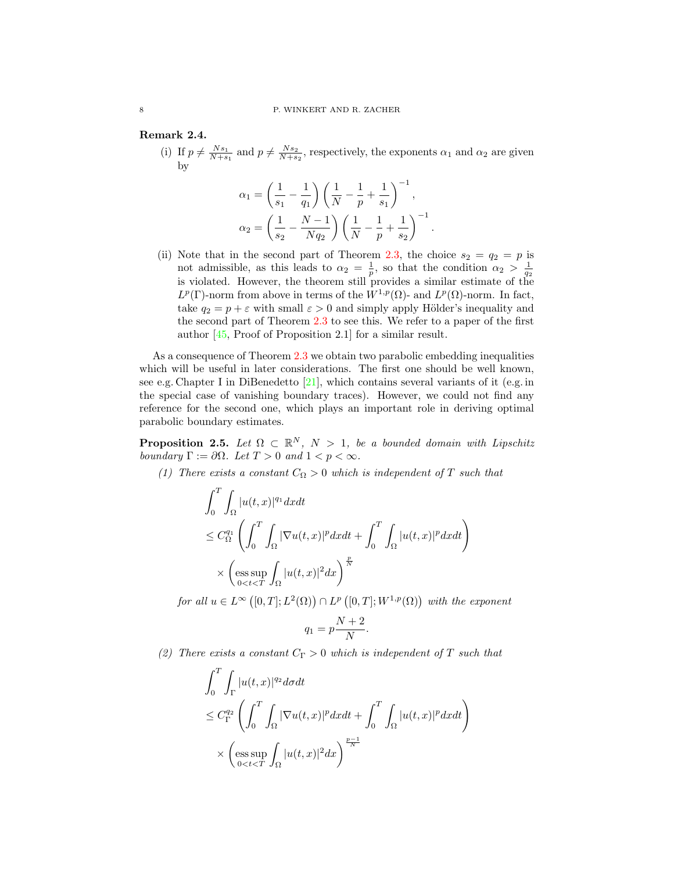# Remark 2.4.

(i) If  $p \neq \frac{Ns_1}{N+s_1}$  and  $p \neq \frac{Ns_2}{N+s_2}$ , respectively, the exponents  $\alpha_1$  and  $\alpha_2$  are given by

$$
\alpha_1 = \left(\frac{1}{s_1} - \frac{1}{q_1}\right) \left(\frac{1}{N} - \frac{1}{p} + \frac{1}{s_1}\right)^{-1},
$$
  

$$
\alpha_2 = \left(\frac{1}{s_2} - \frac{N-1}{Nq_2}\right) \left(\frac{1}{N} - \frac{1}{p} + \frac{1}{s_2}\right)^{-1}.
$$

(ii) Note that in the second part of Theorem [2.3,](#page-5-0) the choice  $s_2 = q_2 = p$  is not admissible, as this leads to  $\alpha_2 = \frac{1}{p}$ , so that the condition  $\alpha_2 > \frac{1}{q_2}$ is violated. However, the theorem still provides a similar estimate of the  $L^p(\Gamma)$ -norm from above in terms of the  $W^{1,p}(\Omega)$ - and  $L^p(\Omega)$ -norm. In fact, take  $q_2 = p + \varepsilon$  with small  $\varepsilon > 0$  and simply apply Hölder's inequality and the second part of Theorem [2.3](#page-5-0) to see this. We refer to a paper of the first author [\[45,](#page-27-19) Proof of Proposition 2.1] for a similar result.

As a consequence of Theorem [2.3](#page-5-0) we obtain two parabolic embedding inequalities which will be useful in later considerations. The first one should be well known, see e.g. Chapter I in DiBenedetto  $[21]$ , which contains several variants of it (e.g. in the special case of vanishing boundary traces). However, we could not find any reference for the second one, which plays an important role in deriving optimal parabolic boundary estimates.

<span id="page-7-0"></span>**Proposition 2.5.** Let  $\Omega \subset \mathbb{R}^N$ ,  $N > 1$ , be a bounded domain with Lipschitz boundary  $\Gamma := \partial \Omega$ . Let  $T > 0$  and  $1 < p < \infty$ .

(1) There exists a constant  $C_{\Omega} > 0$  which is independent of T such that

$$
\int_0^T \int_{\Omega} |u(t,x)|^{q_1} dxdt
$$
\n
$$
\leq C_{\Omega}^{q_1} \left( \int_0^T \int_{\Omega} |\nabla u(t,x)|^p dxdt + \int_0^T \int_{\Omega} |u(t,x)|^p dxdt \right)
$$
\n
$$
\times \left( \underset{0 < t < T}{\operatorname{ess\,sup}} \int_{\Omega} |u(t,x)|^2 dx \right)^{\frac{p}{N}}
$$

for all  $u \in L^{\infty}([0,T]; L^2(\Omega)) \cap L^p([0,T]; W^{1,p}(\Omega))$  with the exponent

$$
q_1 = p\frac{N+2}{N}.
$$

(2) There exists a constant  $C_{\Gamma} > 0$  which is independent of T such that

$$
\int_0^T \int_{\Gamma} |u(t,x)|^{q_2} d\sigma dt
$$
\n
$$
\leq C_{\Gamma}^{q_2} \left( \int_0^T \int_{\Omega} |\nabla u(t,x)|^p dx dt + \int_0^T \int_{\Omega} |u(t,x)|^p dx dt \right)
$$
\n
$$
\times \left( \underset{0 < t < T}{\operatorname{ess\,sup}} \int_{\Omega} |u(t,x)|^2 dx \right)^{\frac{p-1}{N}}
$$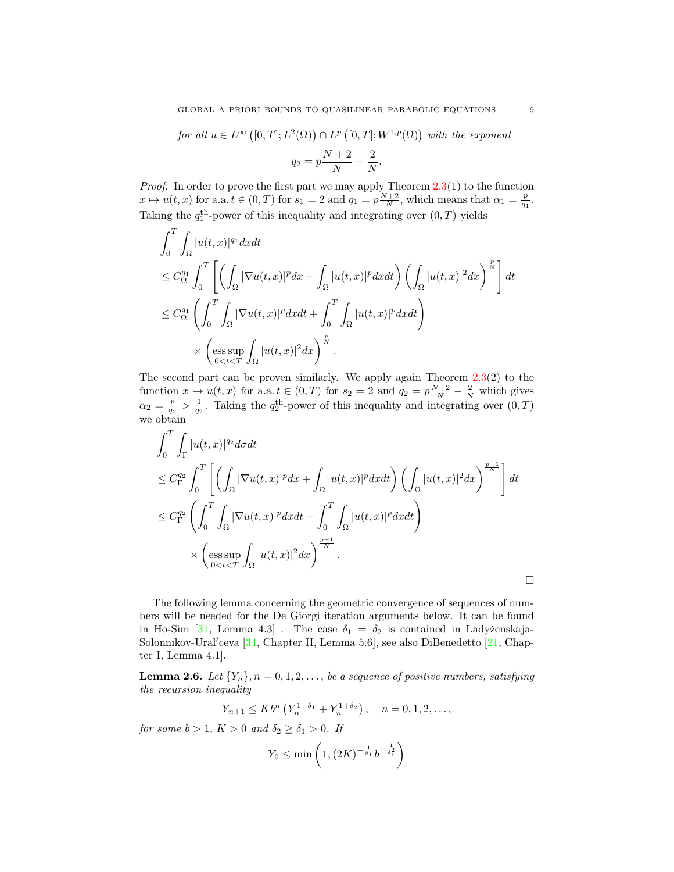for all 
$$
u \in L^{\infty}([0, T]; L^2(\Omega)) \cap L^p([0, T]; W^{1,p}(\Omega))
$$
 with the exponent  

$$
q_2 = p \frac{N+2}{N} - \frac{2}{N}.
$$

*Proof.* In order to prove the first part we may apply Theorem  $2.3(1)$  $2.3(1)$  to the function  $x \mapsto u(t, x)$  for a.a.  $t \in (0, T)$  for  $s_1 = 2$  and  $q_1 = p\frac{N+2}{N}$ , which means that  $\alpha_1 = \frac{p}{q_1}$ . Taking the  $q_1^{\text{th}}$ -power of this inequality and integrating over  $(0, T)$  yields

$$
\int_0^T \int_{\Omega} |u(t,x)|^{q_1} dxdt
$$
\n
$$
\leq C_{\Omega}^{q_1} \int_0^T \left[ \left( \int_{\Omega} |\nabla u(t,x)|^p dx + \int_{\Omega} |u(t,x)|^p dxdt \right) \left( \int_{\Omega} |u(t,x)|^2 dx \right)^{\frac{p}{N}} \right] dt
$$
\n
$$
\leq C_{\Omega}^{q_1} \left( \int_0^T \int_{\Omega} |\nabla u(t,x)|^p dxdt + \int_0^T \int_{\Omega} |u(t,x)|^p dxdt \right)
$$
\n
$$
\times \left( \underset{0 < t < T}{\operatorname{ess \, sup}} \int_{\Omega} |u(t,x)|^2 dx \right)^{\frac{p}{N}}.
$$

The second part can be proven similarly. We apply again Theorem  $2.3(2)$  $2.3(2)$  to the function  $x \mapsto u(t, x)$  for a.a.  $t \in (0, T)$  for  $s_2 = 2$  and  $q_2 = p\frac{N+2}{N} - \frac{2}{N}$  which gives  $\alpha_2 = \frac{p}{q_2} > \frac{1}{q_2}$ . Taking the  $q_2^{\text{th}}$ -power of this inequality and integrating over  $(0, T)$ we obtain

$$
\int_0^T \int_{\Gamma} |u(t,x)|^{q_2} d\sigma dt
$$
\n
$$
\leq C_{\Gamma}^{q_2} \int_0^T \left[ \left( \int_{\Omega} |\nabla u(t,x)|^p dx + \int_{\Omega} |u(t,x)|^p dx dt \right) \left( \int_{\Omega} |u(t,x)|^2 dx \right)^{\frac{p-1}{N}} \right] dt
$$
\n
$$
\leq C_{\Gamma}^{q_2} \left( \int_0^T \int_{\Omega} |\nabla u(t,x)|^p dx dt + \int_0^T \int_{\Omega} |u(t,x)|^p dx dt \right)
$$
\n
$$
\times \left( \underset{0 < t < T}{\text{ess sup}} \int_{\Omega} |u(t,x)|^2 dx \right)^{\frac{p-1}{N}}.
$$

The following lemma concerning the geometric convergence of sequences of numbers will be needed for the De Giorgi iteration arguments below. It can be found in Ho-Sim [\[31,](#page-27-20) Lemma 4.3]. The case  $\delta_1 = \delta_2$  is contained in Ladyženskaja-Solonnikov-Ural'ceva [\[34,](#page-27-21) Chapter II, Lemma 5.6], see also DiBenedetto [\[21,](#page-26-27) Chapter I, Lemma 4.1].

<span id="page-8-0"></span>**Lemma 2.6.** Let  $\{Y_n\}, n = 0, 1, 2, \ldots$ , be a sequence of positive numbers, satisfying the recursion inequality

$$
Y_{n+1} \le Kb^n \left( Y_n^{1+\delta_1} + Y_n^{1+\delta_2} \right), \quad n = 0, 1, 2, \dots,
$$

for some  $b > 1$ ,  $K > 0$  and  $\delta_2 \ge \delta_1 > 0$ . If

 $\mathcal{T}$ 

$$
Y_0 \le \min\left(1, \left(2K\right)^{-\frac{1}{\delta_1}} b^{-\frac{1}{\delta_1^2}}\right)
$$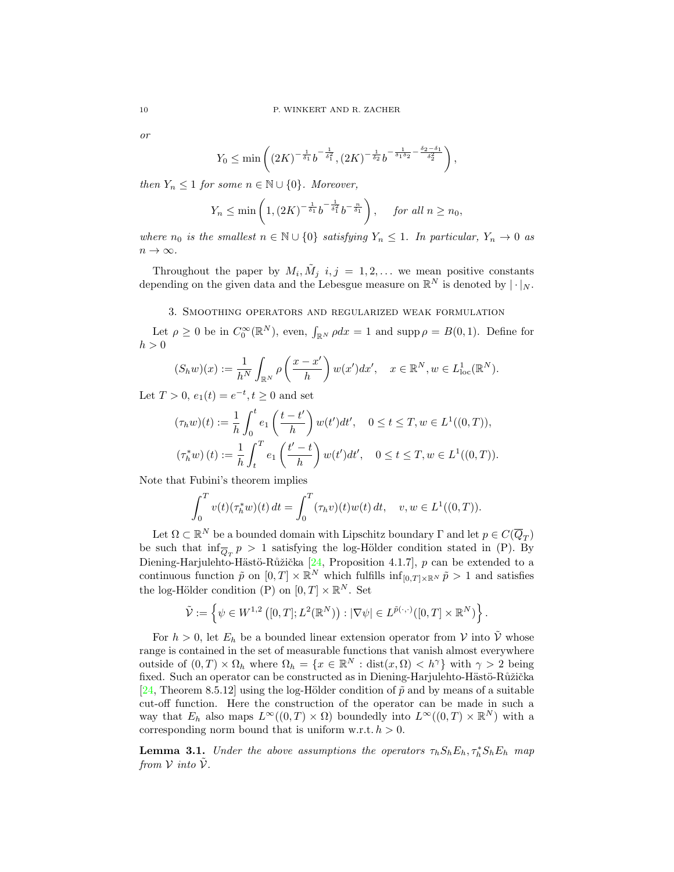or

$$
Y_0 \le \min\left( (2K)^{-\frac{1}{\delta_1}} b^{-\frac{1}{\delta_1^2}}, (2K)^{-\frac{1}{\delta_2}} b^{-\frac{1}{\delta_1 \delta_2} - \frac{\delta_2 - \delta_1}{\delta_2^2}} \right),
$$

then  $Y_n \leq 1$  for some  $n \in \mathbb{N} \cup \{0\}$ . Moreover,

$$
Y_n \le \min\left(1, (2K)^{-\frac{1}{\delta_1}} b^{-\frac{1}{\delta_1^2}} b^{-\frac{n}{\delta_1}}\right), \text{ for all } n \ge n_0,
$$

where  $n_0$  is the smallest  $n \in \mathbb{N} \cup \{0\}$  satisfying  $Y_n \leq 1$ . In particular,  $Y_n \to 0$  as  $n \to \infty$ .

Throughout the paper by  $M_i$ ,  $\tilde{M}_j$   $i, j = 1, 2, \ldots$  we mean positive constants depending on the given data and the Lebesgue measure on  $\mathbb{R}^N$  is denoted by  $|\cdot|_N$ .

3. Smoothing operators and regularized weak formulation

<span id="page-9-0"></span>Let  $\rho \geq 0$  be in  $C_0^{\infty}(\mathbb{R}^N)$ , even,  $\int_{\mathbb{R}^N} \rho dx = 1$  and supp  $\rho = B(0, 1)$ . Define for  $h > 0$ 

$$
(S_h w)(x) := \frac{1}{h^N} \int_{\mathbb{R}^N} \rho\left(\frac{x - x'}{h}\right) w(x') dx', \quad x \in \mathbb{R}^N, w \in L^1_{loc}(\mathbb{R}^N).
$$

Let  $T > 0$ ,  $e_1(t) = e^{-t}, t \ge 0$  and set

$$
(\tau_h w)(t) := \frac{1}{h} \int_0^t e_1\left(\frac{t - t'}{h}\right) w(t')dt', \quad 0 \le t \le T, w \in L^1((0, T)),
$$
  

$$
(\tau_h^* w)(t) := \frac{1}{h} \int_t^T e_1\left(\frac{t' - t}{h}\right) w(t')dt', \quad 0 \le t \le T, w \in L^1((0, T)).
$$

Note that Fubini's theorem implies

$$
\int_0^T v(t)(\tau_h^* w)(t) dt = \int_0^T (\tau_h v)(t)w(t) dt, \quad v, w \in L^1((0,T)).
$$

Let  $\Omega \subset \mathbb{R}^N$  be a bounded domain with Lipschitz boundary  $\Gamma$  and let  $p \in C(\overline{Q}_T)$ be such that  $\inf_{\overline{Q}_T} p > 1$  satisfying the log-Hölder condition stated in (P). By Diening-Harjulehto-Hästö-Růžička [\[24,](#page-26-25) Proposition 4.1.7],  $p$  can be extended to a continuous function  $\tilde{p}$  on  $[0, T] \times \mathbb{R}^N$  which fulfills  $\inf_{[0, T] \times \mathbb{R}^N} \tilde{p} > 1$  and satisfies the log-Hölder condition (P) on  $[0, T] \times \mathbb{R}^N$ . Set

$$
\tilde{\mathcal{V}} := \left\{ \psi \in W^{1,2} \left( [0,T]; L^2(\mathbb{R}^N) \right) : |\nabla \psi| \in L^{\tilde{p}(\cdot,\cdot)}([0,T] \times \mathbb{R}^N) \right\}.
$$

For  $h > 0$ , let  $E_h$  be a bounded linear extension operator from V into  $\tilde{V}$  whose range is contained in the set of measurable functions that vanish almost everywhere outside of  $(0,T) \times \Omega_h$  where  $\Omega_h = \{x \in \mathbb{R}^N : dist(x, \Omega) < h^{\gamma}\}\$  with  $\gamma > 2$  being fixed. Such an operator can be constructed as in Diening-Harjulehto-Hästö-Růžička [\[24,](#page-26-25) Theorem 8.5.12] using the log-Hölder condition of  $\tilde{p}$  and by means of a suitable cut-off function. Here the construction of the operator can be made in such a way that  $E_h$  also maps  $L^{\infty}((0,T) \times \Omega)$  boundedly into  $L^{\infty}((0,T) \times \mathbb{R}^N)$  with a corresponding norm bound that is uniform w.r.t.  $h > 0$ .

<span id="page-9-1"></span>**Lemma 3.1.** Under the above assumptions the operators  $\tau_h S_h E_h$ ,  $\tau_h^* S_h E_h$  map from  $V$  into  $V$ .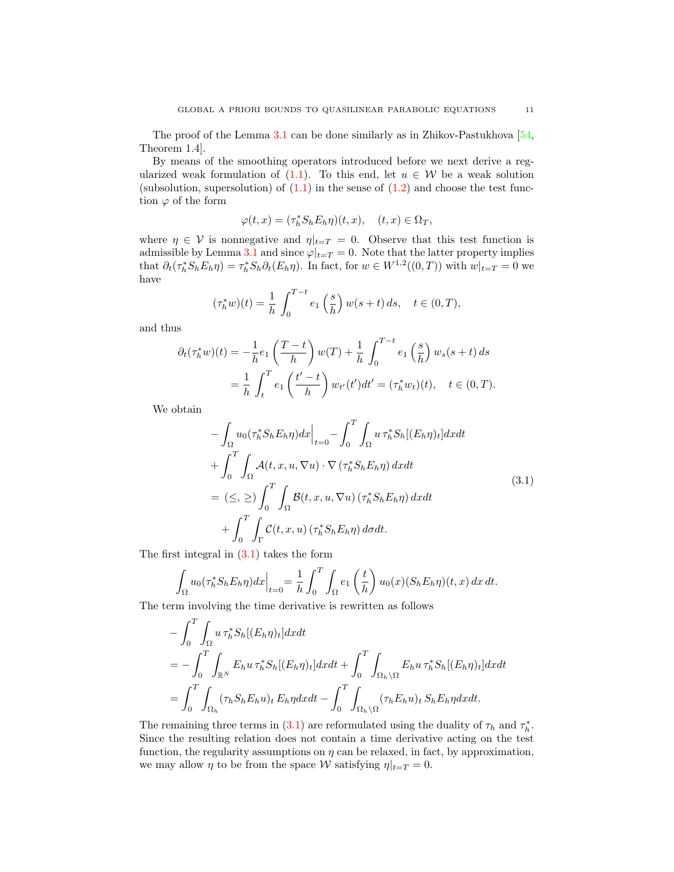The proof of the Lemma [3.1](#page-9-1) can be done similarly as in Zhikov-Pastukhova [\[54,](#page-27-22) Theorem 1.4].

By means of the smoothing operators introduced before we next derive a regularized weak formulation of  $(1.1)$ . To this end, let  $u \in W$  be a weak solution (subsolution, supersolution) of  $(1.1)$  in the sense of  $(1.2)$  and choose the test function  $\varphi$  of the form

$$
\varphi(t,x) = (\tau_h^* S_h E_h \eta)(t,x), \quad (t,x) \in \Omega_T,
$$

where  $\eta \in \mathcal{V}$  is nonnegative and  $\eta|_{t=T} = 0$ . Observe that this test function is admissible by Lemma [3.1](#page-9-1) and since  $\varphi|_{t=T} = 0$ . Note that the latter property implies that  $\partial_t(\tau_h^* S_h E_h \eta) = \tau_h^* S_h \partial_t(E_h \eta)$ . In fact, for  $w \in W^{1,2}((0,T))$  with  $w|_{t=T} = 0$  we have

$$
(\tau_h^* w)(t) = \frac{1}{h} \int_0^{T-t} e_1\left(\frac{s}{h}\right) w(s+t) \, ds, \quad t \in (0, T),
$$

and thus

$$
\partial_t(\tau_h^* w)(t) = -\frac{1}{h} e_1\left(\frac{T-t}{h}\right)w(T) + \frac{1}{h} \int_0^{T-t} e_1\left(\frac{s}{h}\right)w_s(s+t) ds
$$
  

$$
= \frac{1}{h} \int_t^T e_1\left(\frac{t'-t}{h}\right)w_{t'}(t')dt' = (\tau_h^* w_t)(t), \quad t \in (0,T).
$$

We obtain

<span id="page-10-0"></span>
$$
-\int_{\Omega} u_0(\tau_h^* S_h E_h \eta) dx \Big|_{t=0} - \int_0^T \int_{\Omega} u \tau_h^* S_h[(E_h \eta)_t] dx dt
$$
  
+ 
$$
\int_0^T \int_{\Omega} \mathcal{A}(t, x, u, \nabla u) \cdot \nabla (\tau_h^* S_h E_h \eta) dx dt
$$
  
= 
$$
(\leq, \geq) \int_0^T \int_{\Omega} \mathcal{B}(t, x, u, \nabla u) (\tau_h^* S_h E_h \eta) dx dt
$$
  
+ 
$$
\int_0^T \int_{\Gamma} \mathcal{C}(t, x, u) (\tau_h^* S_h E_h \eta) d\sigma dt.
$$
 (3.1)

The first integral in [\(3.1\)](#page-10-0) takes the form

$$
\int_{\Omega} u_0(\tau_h^* S_h E_h \eta) dx \Big|_{t=0} = \frac{1}{h} \int_0^T \int_{\Omega} e_1\left(\frac{t}{h}\right) u_0(x) (S_h E_h \eta)(t, x) dx dt.
$$

The term involving the time derivative is rewritten as follows

$$
- \int_0^T \int_{\Omega} u \,\tau_h^* S_h[(E_h \eta)_t] dx dt
$$
  
= 
$$
- \int_0^T \int_{\mathbb{R}^N} E_h u \,\tau_h^* S_h[(E_h \eta)_t] dx dt + \int_0^T \int_{\Omega_h \setminus \Omega} E_h u \,\tau_h^* S_h[(E_h \eta)_t] dx dt
$$
  
= 
$$
\int_0^T \int_{\Omega_h} (\tau_h S_h E_h u)_t E_h \eta dx dt - \int_0^T \int_{\Omega_h \setminus \Omega} (\tau_h E_h u)_t S_h E_h \eta dx dt.
$$

The remaining three terms in [\(3.1\)](#page-10-0) are reformulated using the duality of  $\tau_h$  and  $\tau_h^*$ . Since the resulting relation does not contain a time derivative acting on the test function, the regularity assumptions on  $\eta$  can be relaxed, in fact, by approximation, we may allow  $\eta$  to be from the space W satisfying  $\eta|_{t=T} = 0$ .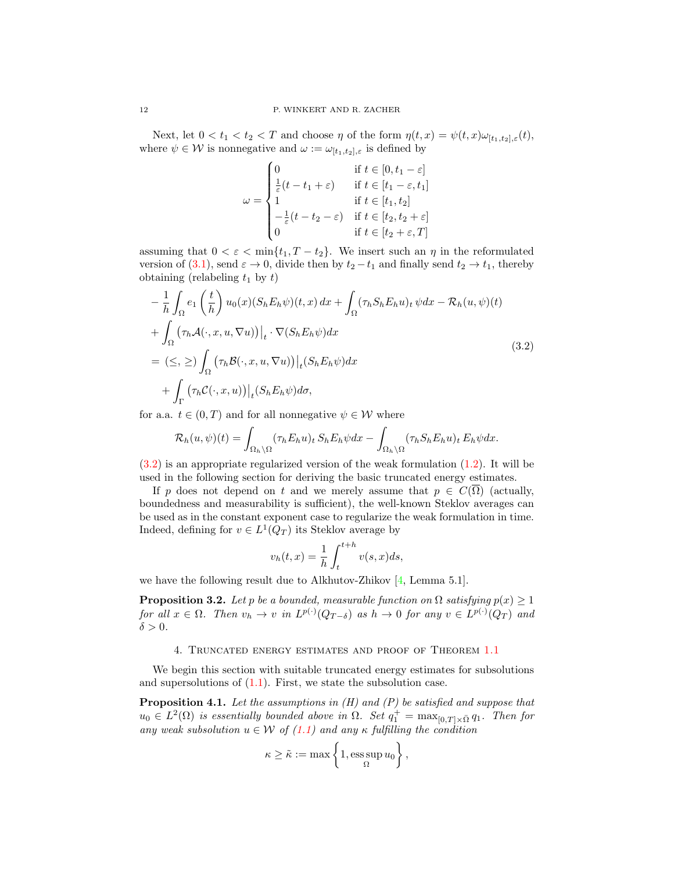Next, let  $0 < t_1 < t_2 < T$  and choose  $\eta$  of the form  $\eta(t,x) = \psi(t,x) \omega_{[t_1,t_2],\varepsilon}(t)$ , where  $\psi \in \mathcal{W}$  is nonnegative and  $\omega := \omega_{[t_1,t_2],\varepsilon}$  is defined by

<span id="page-11-1"></span>
$$
\omega = \begin{cases}\n0 & \text{if } t \in [0, t_1 - \varepsilon] \\
\frac{1}{\varepsilon}(t - t_1 + \varepsilon) & \text{if } t \in [t_1 - \varepsilon, t_1] \\
1 & \text{if } t \in [t_1, t_2] \\
-\frac{1}{\varepsilon}(t - t_2 - \varepsilon) & \text{if } t \in [t_2, t_2 + \varepsilon] \\
0 & \text{if } t \in [t_2 + \varepsilon, T]\n\end{cases}
$$

assuming that  $0 < \varepsilon < \min\{t_1, T - t_2\}$ . We insert such an  $\eta$  in the reformulated version of [\(3.1\)](#page-10-0), send  $\varepsilon \to 0$ , divide then by  $t_2 - t_1$  and finally send  $t_2 \to t_1$ , thereby obtaining (relabeling  $t_1$  by  $t$ )

$$
-\frac{1}{h} \int_{\Omega} e_1 \left(\frac{t}{h}\right) u_0(x) (S_h E_h \psi)(t, x) dx + \int_{\Omega} (\tau_h S_h E_h u)_t \psi dx - \mathcal{R}_h(u, \psi)(t)
$$
  
+ 
$$
\int_{\Omega} (\tau_h \mathcal{A}(\cdot, x, u, \nabla u)) \Big|_t \cdot \nabla (S_h E_h \psi) dx
$$
  
= 
$$
(\leq, \geq) \int_{\Omega} (\tau_h \mathcal{B}(\cdot, x, u, \nabla u)) \Big|_t (S_h E_h \psi) dx
$$
  
+ 
$$
\int_{\Gamma} (\tau_h \mathcal{C}(\cdot, x, u)) \Big|_t (S_h E_h \psi) d\sigma,
$$
 (3.2)

for a.a.  $t \in (0, T)$  and for all nonnegative  $\psi \in \mathcal{W}$  where

$$
\mathcal{R}_h(u,\psi)(t) = \int_{\Omega_h \backslash \Omega} (\tau_h E_h u)_t S_h E_h \psi dx - \int_{\Omega_h \backslash \Omega} (\tau_h S_h E_h u)_t E_h \psi dx.
$$

[\(3.2\)](#page-11-1) is an appropriate regularized version of the weak formulation [\(1.2\)](#page-1-0). It will be used in the following section for deriving the basic truncated energy estimates.

If p does not depend on t and we merely assume that  $p \in C(\overline{\Omega})$  (actually, boundedness and measurability is sufficient), the well-known Steklov averages can be used as in the constant exponent case to regularize the weak formulation in time. Indeed, defining for  $v \in L^1(Q_T)$  its Steklov average by

$$
v_h(t,x) = \frac{1}{h} \int_t^{t+h} v(s,x)ds,
$$

we have the following result due to Alkhutov-Zhikov [\[4,](#page-26-10) Lemma 5.1].

**Proposition 3.2.** Let p be a bounded, measurable function on  $\Omega$  satisfying  $p(x) \geq 1$ for all  $x \in \Omega$ . Then  $v_h \to v$  in  $L^{p(\cdot)}(Q_{T-\delta})$  as  $h \to 0$  for any  $v \in L^{p(\cdot)}(Q_T)$  and  $\delta > 0$ .

## 4. Truncated energy estimates and proof of Theorem [1.1](#page-2-0)

<span id="page-11-0"></span>We begin this section with suitable truncated energy estimates for subsolutions and supersolutions of  $(1.1)$ . First, we state the subsolution case.

<span id="page-11-2"></span>**Proposition 4.1.** Let the assumptions in  $(H)$  and  $(P)$  be satisfied and suppose that  $u_0 \in L^2(\Omega)$  is essentially bounded above in  $\Omega$ . Set  $q_1^+ = \max_{[0,T] \times \bar{\Omega}} q_1$ . Then for any weak subsolution  $u \in \mathcal{W}$  of  $(1.1)$  and any  $\kappa$  fulfilling the condition

$$
\kappa \geq \tilde{\kappa} := \max \left\{ 1, \operatorname*{ess\,sup}_{\Omega} u_0 \right\},\,
$$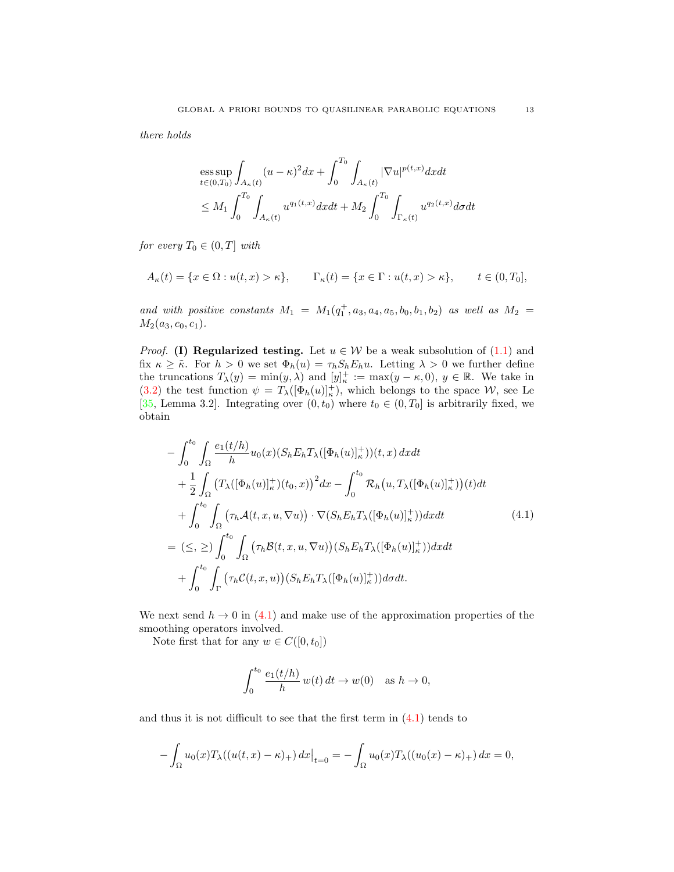there holds

$$
\begin{aligned} & \underset{t \in (0, T_0)}{\mathrm{ess} \sup} \int_{A_{\kappa}(t)} (u - \kappa)^2 dx + \int_0^{T_0} \int_{A_{\kappa}(t)} |\nabla u|^{p(t, x)} dx dt \\ & \leq M_1 \int_0^{T_0} \int_{A_{\kappa}(t)} u^{q_1(t, x)} dx dt + M_2 \int_0^{T_0} \int_{\Gamma_{\kappa}(t)} u^{q_2(t, x)} d\sigma dt \end{aligned}
$$

for every  $T_0 \in (0, T]$  with

$$
A_{\kappa}(t) = \{x \in \Omega : u(t, x) > \kappa\}, \qquad \Gamma_{\kappa}(t) = \{x \in \Gamma : u(t, x) > \kappa\}, \qquad t \in (0, T_0],
$$

and with positive constants  $M_1 = M_1(q_1^+, a_3, a_4, a_5, b_0, b_1, b_2)$  as well as  $M_2 =$  $M_2(a_3, c_0, c_1).$ 

*Proof.* (I) Regularized testing. Let  $u \in W$  be a weak subsolution of  $(1.1)$  and fix  $\kappa \geq \tilde{\kappa}$ . For  $h > 0$  we set  $\Phi_h(u) = \tau_h S_h E_h u$ . Letting  $\lambda > 0$  we further define the truncations  $T_{\lambda}(y) = \min(y, \lambda)$  and  $[y]_{\kappa}^{+} := \max(y - \kappa, 0), y \in \mathbb{R}$ . We take in [\(3.2\)](#page-11-1) the test function  $\psi = T_{\lambda}([\Phi_h(u)]_\kappa^+),$  which belongs to the space W, see Le [\[35,](#page-27-23) Lemma 3.2]. Integrating over  $(0, t_0)$  where  $t_0 \in (0, T_0]$  is arbitrarily fixed, we obtain

$$
-\int_{0}^{t_{0}}\int_{\Omega}\frac{e_{1}(t/h)}{h}u_{0}(x)(S_{h}E_{h}T_{\lambda}([\Phi_{h}(u)]_{\kappa}^{+}))(t,x) dxdt + \frac{1}{2}\int_{\Omega}\left(T_{\lambda}([\Phi_{h}(u)]_{\kappa}^{+})(t_{0},x)\right)^{2}dx - \int_{0}^{t_{0}}\mathcal{R}_{h}\left(u,T_{\lambda}([\Phi_{h}(u)]_{\kappa}^{+})(t)dt + \int_{0}^{t_{0}}\int_{\Omega}\left(\tau_{h}\mathcal{A}(t,x,u,\nabla u)\right)\cdot\nabla(S_{h}E_{h}T_{\lambda}([\Phi_{h}(u)]_{\kappa}^{+}))dxdt = (\leq,\geq)\int_{0}^{t_{0}}\int_{\Omega}\left(\tau_{h}\mathcal{B}(t,x,u,\nabla u)\right)(S_{h}E_{h}T_{\lambda}([\Phi_{h}(u)]_{\kappa}^{+}))dxdt + \int_{0}^{t_{0}}\int_{\Gamma}\left(\tau_{h}\mathcal{C}(t,x,u)\right)(S_{h}E_{h}T_{\lambda}([\Phi_{h}(u)]_{\kappa}^{+}))d\sigma dt.
$$
\n(4.1)

We next send  $h \to 0$  in [\(4.1\)](#page-12-0) and make use of the approximation properties of the smoothing operators involved.

Note first that for any  $w \in C([0, t_0])$ 

<span id="page-12-0"></span>
$$
\int_0^{t_0} \frac{e_1(t/h)}{h} w(t) dt \to w(0) \text{ as } h \to 0,
$$

and thus it is not difficult to see that the first term in  $(4.1)$  tends to

$$
-\int_{\Omega} u_0(x) T_{\lambda}((u(t,x)-\kappa)_+) dx \big|_{t=0} = -\int_{\Omega} u_0(x) T_{\lambda}((u_0(x)-\kappa)_+) dx = 0,
$$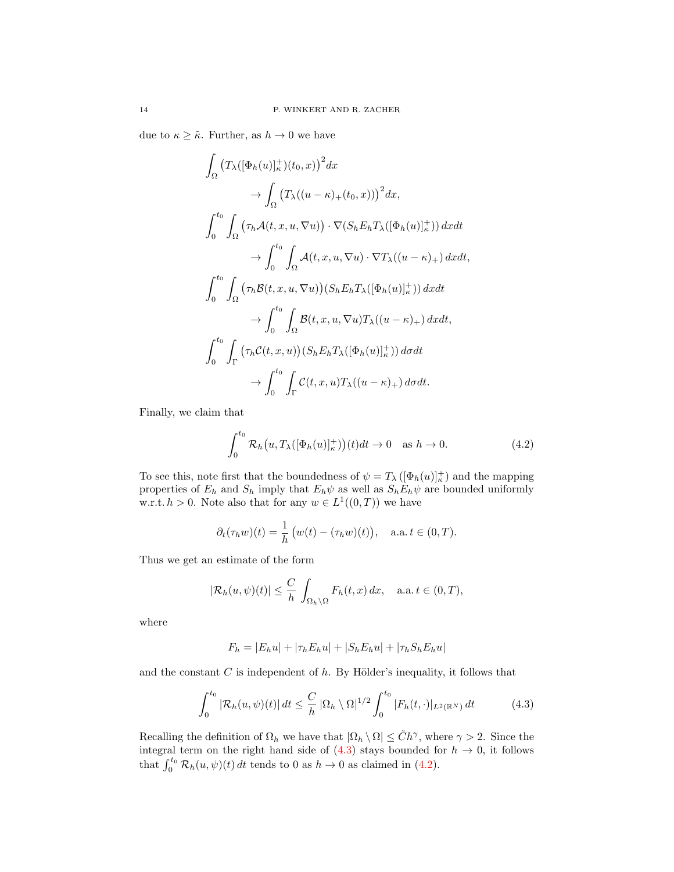due to  $\kappa \geq \tilde{\kappa}$ . Further, as  $h \to 0$  we have

$$
\int_{\Omega} (T_{\lambda}([\Phi_h(u)]_\kappa^+)(t_0, x))^2 dx
$$
\n
$$
\to \int_{\Omega} (T_{\lambda}((u-\kappa)_+(t_0, x)))^2 dx,
$$
\n
$$
\int_0^{t_0} \int_{\Omega} (\tau_h \mathcal{A}(t, x, u, \nabla u)) \cdot \nabla (S_h E_h T_{\lambda}([\Phi_h(u)]_\kappa^+)) dx dt
$$
\n
$$
\to \int_0^{t_0} \int_{\Omega} \mathcal{A}(t, x, u, \nabla u) \cdot \nabla T_{\lambda}((u-\kappa)_+) dx dt,
$$
\n
$$
\int_0^{t_0} \int_{\Omega} (\tau_h \mathcal{B}(t, x, u, \nabla u))(S_h E_h T_{\lambda}([\Phi_h(u)]_\kappa^+)) dx dt
$$
\n
$$
\to \int_0^{t_0} \int_{\Omega} \mathcal{B}(t, x, u, \nabla u) T_{\lambda}((u-\kappa)_+) dx dt,
$$
\n
$$
\int_0^{t_0} \int_{\Gamma} (\tau_h C(t, x, u))(S_h E_h T_{\lambda}([\Phi_h(u)]_\kappa^+)) d\sigma dt
$$
\n
$$
\to \int_0^{t_0} \int_{\Gamma} C(t, x, u) T_{\lambda}((u-\kappa)_+) d\sigma dt.
$$

Finally, we claim that

<span id="page-13-1"></span>
$$
\int_0^{t_0} \mathcal{R}_h(u, T_\lambda([\Phi_h(u)]_\kappa^+))(t)dt \to 0 \quad \text{as } h \to 0.
$$
 (4.2)

To see this, note first that the boundedness of  $\psi = T_{\lambda} ([\Phi_h(u)]_\kappa^+)$  and the mapping properties of  $E_h$  and  $S_h$  imply that  $E_h\psi$  as well as  $S_hE_h\psi$  are bounded uniformly w.r.t.  $h > 0$ . Note also that for any  $w \in L^1((0,T))$  we have

$$
\partial_t(\tau_h w)(t) = \frac{1}{h} \left( w(t) - (\tau_h w)(t) \right), \quad \text{a.a. } t \in (0, T).
$$

Thus we get an estimate of the form

$$
|\mathcal{R}_h(u,\psi)(t)| \leq \frac{C}{h} \int_{\Omega_h \setminus \Omega} F_h(t,x) \, dx, \quad \text{a.a. } t \in (0,T),
$$

where

<span id="page-13-0"></span>
$$
F_h = |E_h u| + |\tau_h E_h u| + |S_h E_h u| + |\tau_h S_h E_h u|
$$

and the constant  $C$  is independent of  $h$ . By Hölder's inequality, it follows that

$$
\int_0^{t_0} |\mathcal{R}_h(u,\psi)(t)| \, dt \le \frac{C}{h} \left| \Omega_h \setminus \Omega \right|^{1/2} \int_0^{t_0} |F_h(t,\cdot)|_{L^2(\mathbb{R}^N)} \, dt \tag{4.3}
$$

Recalling the definition of  $\Omega_h$  we have that  $|\Omega_h \setminus \Omega| \leq \tilde{C}h^{\gamma}$ , where  $\gamma > 2$ . Since the integral term on the right hand side of  $(4.3)$  stays bounded for  $h \to 0$ , it follows that  $\int_0^{t_0} \mathcal{R}_h(u, \psi)(t) dt$  tends to 0 as  $h \to 0$  as claimed in [\(4.2\)](#page-13-1).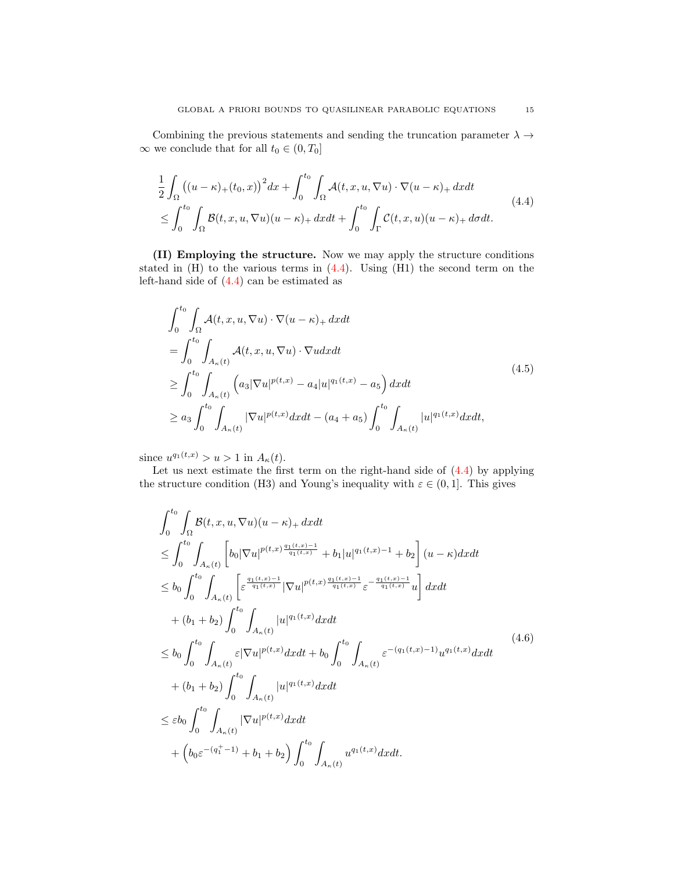Combining the previous statements and sending the truncation parameter  $\lambda \rightarrow$  $\infty$  we conclude that for all  $t_0 \in (0, T_0]$ 

<span id="page-14-0"></span>
$$
\frac{1}{2} \int_{\Omega} \left( (u - \kappa)_+(t_0, x) \right)^2 dx + \int_0^{t_0} \int_{\Omega} \mathcal{A}(t, x, u, \nabla u) \cdot \nabla (u - \kappa)_+ dx dt
$$
\n
$$
\leq \int_0^{t_0} \int_{\Omega} \mathcal{B}(t, x, u, \nabla u)(u - \kappa)_+ dx dt + \int_0^{t_0} \int_{\Gamma} \mathcal{C}(t, x, u)(u - \kappa)_+ d\sigma dt.
$$
\n(4.4)

(II) Employing the structure. Now we may apply the structure conditions stated in (H) to the various terms in [\(4.4\)](#page-14-0). Using (H1) the second term on the left-hand side of [\(4.4\)](#page-14-0) can be estimated as

$$
\int_{0}^{t_{0}} \int_{\Omega} \mathcal{A}(t, x, u, \nabla u) \cdot \nabla (u - \kappa)_{+} dx dt
$$
\n
$$
= \int_{0}^{t_{0}} \int_{A_{\kappa}(t)} \mathcal{A}(t, x, u, \nabla u) \cdot \nabla u dx dt
$$
\n
$$
\geq \int_{0}^{t_{0}} \int_{A_{\kappa}(t)} \left( a_{3} |\nabla u|^{p(t, x)} - a_{4} |u|^{q_{1}(t, x)} - a_{5} \right) dx dt
$$
\n
$$
\geq a_{3} \int_{0}^{t_{0}} \int_{A_{\kappa}(t)} |\nabla u|^{p(t, x)} dx dt - (a_{4} + a_{5}) \int_{0}^{t_{0}} \int_{A_{\kappa}(t)} |u|^{q_{1}(t, x)} dx dt,
$$
\n(4.5)

since  $u^{q_1(t,x)} > u > 1$  in  $A_{\kappa}(t)$ .

Let us next estimate the first term on the right-hand side of [\(4.4\)](#page-14-0) by applying the structure condition (H3) and Young's inequality with  $\varepsilon \in (0,1]$ . This gives

$$
\int_{0}^{t_{0}} \int_{\Omega} \mathcal{B}(t, x, u, \nabla u)(u - \kappa) + dx dt
$$
\n
$$
\leq \int_{0}^{t_{0}} \int_{A_{\kappa}(t)} \left[ b_{0} |\nabla u|^{p(t, x) \frac{q_{1}(t, x) - 1}{q_{1}(t, x)}} + b_{1} |u|^{q_{1}(t, x) - 1} + b_{2} \right] (u - \kappa) dx dt
$$
\n
$$
\leq b_{0} \int_{0}^{t_{0}} \int_{A_{\kappa}(t)} \left[ \varepsilon^{\frac{q_{1}(t, x) - 1}{q_{1}(t, x)}} |\nabla u|^{p(t, x) \frac{q_{1}(t, x) - 1}{q_{1}(t, x)}} \varepsilon^{-\frac{q_{1}(t, x) - 1}{q_{1}(t, x)}} u \right] dx dt
$$
\n
$$
+ (b_{1} + b_{2}) \int_{0}^{t_{0}} \int_{A_{\kappa}(t)} |u|^{q_{1}(t, x)} dx dt
$$
\n
$$
\leq b_{0} \int_{0}^{t_{0}} \int_{A_{\kappa}(t)} \varepsilon |\nabla u|^{p(t, x)} dx dt + b_{0} \int_{0}^{t_{0}} \int_{A_{\kappa}(t)} \varepsilon^{-(q_{1}(t, x) - 1)} u^{q_{1}(t, x)} dx dt
$$
\n
$$
+ (b_{1} + b_{2}) \int_{0}^{t_{0}} \int_{A_{\kappa}(t)} |u|^{q_{1}(t, x)} dx dt
$$
\n
$$
\leq \varepsilon b_{0} \int_{0}^{t_{0}} \int_{A_{\kappa}(t)} |\nabla u|^{p(t, x)} dx dt
$$
\n
$$
+ (b_{0} \varepsilon^{-(q_{1}^{+} - 1)} + b_{1} + b_{2}) \int_{0}^{t_{0}} \int_{A_{\kappa}(t)} u^{q_{1}(t, x)} dx dt.
$$
\n(4.6)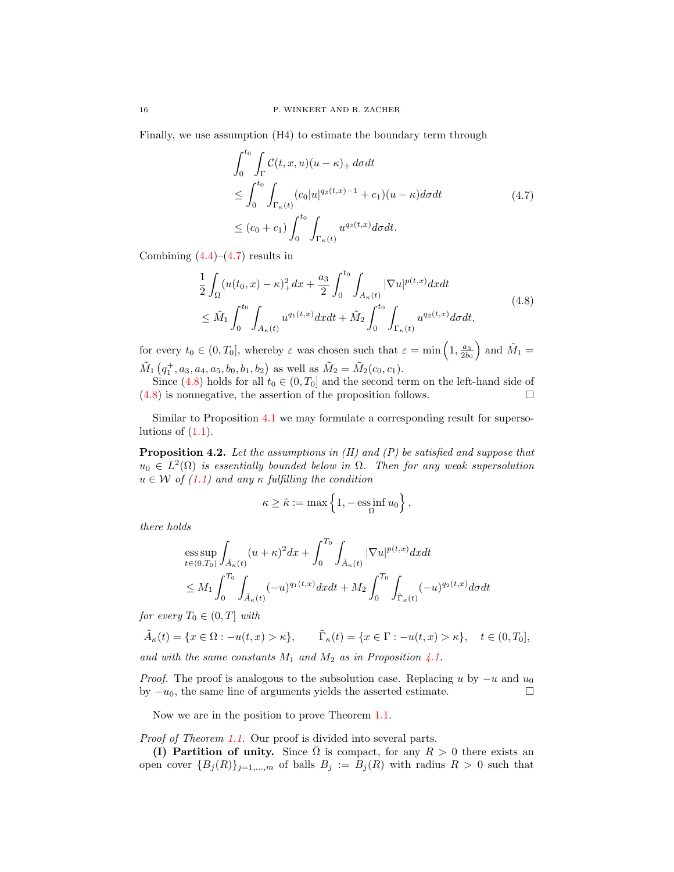Finally, we use assumption (H4) to estimate the boundary term through

<span id="page-15-1"></span><span id="page-15-0"></span>
$$
\int_0^{t_0} \int_{\Gamma} \mathcal{C}(t, x, u)(u - \kappa)_+ d\sigma dt
$$
\n
$$
\leq \int_0^{t_0} \int_{\Gamma_{\kappa}(t)} (c_0 |u|^{q_2(t, x) - 1} + c_1)(u - \kappa) d\sigma dt \qquad (4.7)
$$
\n
$$
\leq (c_0 + c_1) \int_0^{t_0} \int_{\Gamma_{\kappa}(t)} u^{q_2(t, x)} d\sigma dt.
$$

Combining  $(4.4)$ – $(4.7)$  results in

$$
\frac{1}{2} \int_{\Omega} (u(t_0, x) - \kappa)_+^2 dx + \frac{a_3}{2} \int_0^{t_0} \int_{A_\kappa(t)} |\nabla u|^{p(t, x)} dx dt \n\leq \tilde{M}_1 \int_0^{t_0} \int_{A_\kappa(t)} u^{q_1(t, x)} dx dt + \tilde{M}_2 \int_0^{t_0} \int_{\Gamma_\kappa(t)} u^{q_2(t, x)} d\sigma dt,
$$
\n(4.8)

for every  $t_0 \in (0, T_0]$ , whereby  $\varepsilon$  was chosen such that  $\varepsilon = \min\left(1, \frac{a_3}{2b_0}\right)$  and  $\tilde{M}_1 =$  $\tilde{M}_1(q_1^+, a_3, a_4, a_5, b_0, b_1, b_2)$  as well as  $\tilde{M}_2 = \tilde{M}_2(c_0, c_1)$ .

Since [\(4.8\)](#page-15-1) holds for all  $t_0 \in (0, T_0]$  and the second term on the left-hand side of  $(4.8)$  is nonnegative, the assertion of the proposition follows.

Similar to Proposition [4.1](#page-11-2) we may formulate a corresponding result for supersolutions of  $(1.1)$ .

<span id="page-15-2"></span>**Proposition 4.2.** Let the assumptions in  $(H)$  and  $(P)$  be satisfied and suppose that  $u_0 \in L^2(\Omega)$  is essentially bounded below in  $\Omega$ . Then for any weak supersolution  $u \in W$  of [\(1.1\)](#page-0-0) and any  $\kappa$  fulfilling the condition

$$
\kappa \geq \hat{\kappa} := \max\left\{1, -\operatorname*{\mathrm{ess\,inf}}_{\Omega} u_0\right\},\,
$$

there holds

$$
\begin{aligned} & \underset{t \in (0,T_0)}{\mathrm{ess}\sup} \int_{\tilde{A}_{\kappa}(t)} (u+\kappa)^2 dx + \int_0^{T_0} \int_{\tilde{A}_{\kappa}(t)} |\nabla u|^{p(t,x)} dx dt \\ & \leq M_1 \int_0^{T_0} \int_{\tilde{A}_{\kappa}(t)} (-u)^{q_1(t,x)} dx dt + M_2 \int_0^{T_0} \int_{\tilde{\Gamma}_{\kappa}(t)} (-u)^{q_2(t,x)} d\sigma dt \end{aligned}
$$

for every  $T_0 \in (0, T]$  with

$$
\tilde{A}_{\kappa}(t) = \{x \in \Omega : -u(t, x) > \kappa\}, \qquad \tilde{\Gamma}_{\kappa}(t) = \{x \in \Gamma : -u(t, x) > \kappa\}, \quad t \in (0, T_0],
$$

and with the same constants  $M_1$  and  $M_2$  as in Proposition [4.1.](#page-11-2)

*Proof.* The proof is analogous to the subsolution case. Replacing u by  $-u$  and  $u_0$ by  $-u_0$ , the same line of arguments yields the asserted estimate.  $\square$ 

Now we are in the position to prove Theorem [1.1.](#page-2-0)

Proof of Theorem [1.1.](#page-2-0) Our proof is divided into several parts.

(I) Partition of unity. Since  $\Omega$  is compact, for any  $R > 0$  there exists an open cover  ${B_j(R)}_{j=1,...,m}$  of balls  $B_j := B_j(R)$  with radius  $R > 0$  such that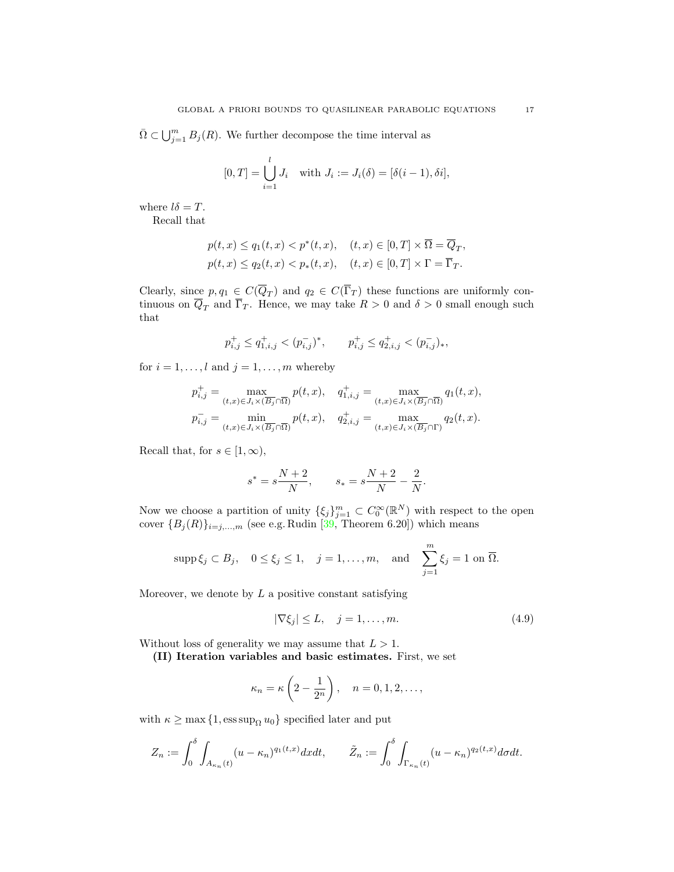$\bar{\Omega} \subset \bigcup_{j=1}^m B_j(R)$ . We further decompose the time interval as

$$
[0, T] = \bigcup_{i=1}^{l} J_i
$$
 with  $J_i := J_i(\delta) = [\delta(i - 1), \delta i],$ 

where  $l\delta = T$ .

Recall that

$$
\begin{aligned} &p(t,x)\leq q_1(t,x)
$$

Clearly, since  $p, q_1 \in C(\overline{Q}_T)$  and  $q_2 \in C(\overline{\Gamma}_T)$  these functions are uniformly continuous on  $\overline{Q}_T$  and  $\overline{\Gamma}_T$ . Hence, we may take  $R > 0$  and  $\delta > 0$  small enough such that

$$
p_{i,j}^+ \leq q_{1,i,j}^+ < (p_{i,j}^-)^*, \qquad p_{i,j}^+ \leq q_{2,i,j}^+ < (p_{i,j}^-)_*,
$$

for  $i = 1, \ldots, l$  and  $j = 1, \ldots, m$  whereby

$$
\begin{aligned} p_{i,j}^+ &= \max_{(t,x)\in J_i\times (\overline{B}_j\cap\overline{\Omega})} p(t,x), \quad q_{1,i,j}^+ = \max_{(t,x)\in J_i\times (\overline{B}_j\cap\overline{\Omega})} q_1(t,x),\\ p_{i,j}^- &= \min_{(t,x)\in J_i\times (\overline{B}_j\cap\overline{\Omega})} p(t,x), \quad q_{2,i,j}^+ = \max_{(t,x)\in J_i\times (\overline{B}_j\cap\Gamma)} q_2(t,x). \end{aligned}
$$

Recall that, for  $s \in [1, \infty)$ ,

$$
s^* = s\frac{N+2}{N}, \qquad s_* = s\frac{N+2}{N} - \frac{2}{N}.
$$

Now we choose a partition of unity  $\{\xi_j\}_{j=1}^m \subset C_0^{\infty}(\mathbb{R}^N)$  with respect to the open cover  ${B_j(R)}_{i=j,\dots,m}$  (see e.g. Rudin [\[39,](#page-27-24) Theorem 6.20]) which means

$$
\operatorname{supp}\xi_j\subset B_j,\quad 0\leq\xi_j\leq 1,\quad j=1,\ldots,m,\quad\text{and}\quad\sum_{j=1}^m\xi_j=1\text{ on }\overline{\Omega}.
$$

Moreover, we denote by  $L$  a positive constant satisfying

<span id="page-16-0"></span>
$$
|\nabla \xi_j| \le L, \quad j = 1, \dots, m. \tag{4.9}
$$

Without loss of generality we may assume that  $L > 1$ .

(II) Iteration variables and basic estimates. First, we set

$$
\kappa_n = \kappa \left( 2 - \frac{1}{2^n} \right), \quad n = 0, 1, 2, \dots,
$$

with  $\kappa \ge \max\{1, \mathrm{ess\,sup}_{\Omega} u_0\}$  specified later and put

$$
Z_n:=\int_0^\delta\int_{A_{\kappa_n}(t)}(u-\kappa_n)^{q_1(t,x)}dxdt,\qquad \tilde Z_n:=\int_0^\delta\int_{\Gamma_{\kappa_n}(t)}(u-\kappa_n)^{q_2(t,x)}d\sigma dt.
$$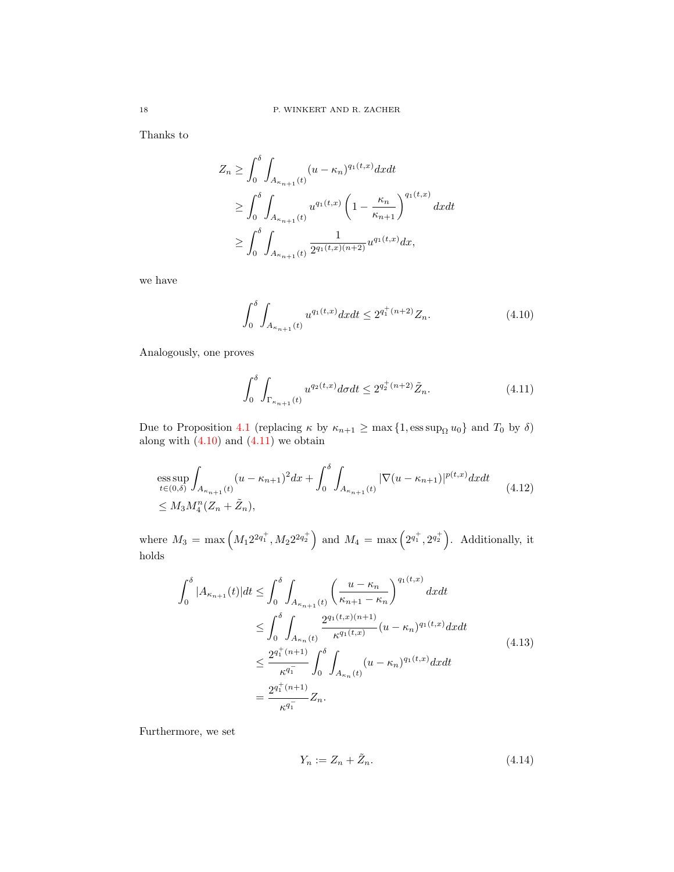Thanks to

$$
Z_n \ge \int_0^\delta \int_{A_{\kappa_{n+1}}(t)} (u - \kappa_n)^{q_1(t,x)} dx dt
$$
  
\n
$$
\ge \int_0^\delta \int_{A_{\kappa_{n+1}}(t)} u^{q_1(t,x)} \left(1 - \frac{\kappa_n}{\kappa_{n+1}}\right)^{q_1(t,x)} dx dt
$$
  
\n
$$
\ge \int_0^\delta \int_{A_{\kappa_{n+1}}(t)} \frac{1}{2^{q_1(t,x)(n+2)}} u^{q_1(t,x)} dx,
$$

we have

<span id="page-17-0"></span>
$$
\int_0^\delta \int_{A_{\kappa_{n+1}}(t)} u^{q_1(t,x)} dx dt \le 2^{q_1^+(n+2)} Z_n. \tag{4.10}
$$

Analogously, one proves

<span id="page-17-2"></span><span id="page-17-1"></span>
$$
\int_0^\delta \int_{\Gamma_{\kappa_{n+1}}(t)} u^{q_2(t,x)} d\sigma dt \le 2^{q_2^+(n+2)} \tilde{Z}_n. \tag{4.11}
$$

Due to Proposition [4.1](#page-11-2) (replacing  $\kappa$  by  $\kappa_{n+1} \ge \max\{1, \text{ess sup}_{\Omega} u_0\}$  and  $T_0$  by  $\delta$ ) along with  $(4.10)$  and  $(4.11)$  we obtain

ess sup 
$$
\int_{A_{\kappa_{n+1}}(t)} (u - \kappa_{n+1})^2 dx + \int_0^{\delta} \int_{A_{\kappa_{n+1}}(t)} |\nabla (u - \kappa_{n+1})|^{p(t,x)} dx dt
$$
  
\n $\leq M_3 M_4^n (Z_n + \tilde{Z}_n),$  (4.12)

where  $M_3 = \max (M_1 2^{2q_1^+}, M_2 2^{2q_2^+})$  and  $M_4 = \max (2^{q_1^+}, 2^{q_2^+})$ . Additionally, it holds

$$
\int_{0}^{\delta} |A_{\kappa_{n+1}}(t)| dt \leq \int_{0}^{\delta} \int_{A_{\kappa_{n+1}}(t)} \left(\frac{u - \kappa_{n}}{\kappa_{n+1} - \kappa_{n}}\right)^{q_{1}(t,x)} dx dt
$$
  
\n
$$
\leq \int_{0}^{\delta} \int_{A_{\kappa_{n}}(t)} \frac{2^{q_{1}(t,x)(n+1)}}{\kappa^{q_{1}(t,x)}} (u - \kappa_{n})^{q_{1}(t,x)} dx dt
$$
  
\n
$$
\leq \frac{2^{q_{1}^{+}(n+1)}}{\kappa^{q_{1}^{-}}}\int_{0}^{\delta} \int_{A_{\kappa_{n}}(t)} (u - \kappa_{n})^{q_{1}(t,x)} dx dt
$$
  
\n
$$
= \frac{2^{q_{1}^{+}(n+1)}}{\kappa^{q_{1}^{-}}} Z_{n}.
$$
\n(4.13)

Furthermore, we set

<span id="page-17-4"></span><span id="page-17-3"></span>
$$
Y_n := Z_n + \tilde{Z}_n. \tag{4.14}
$$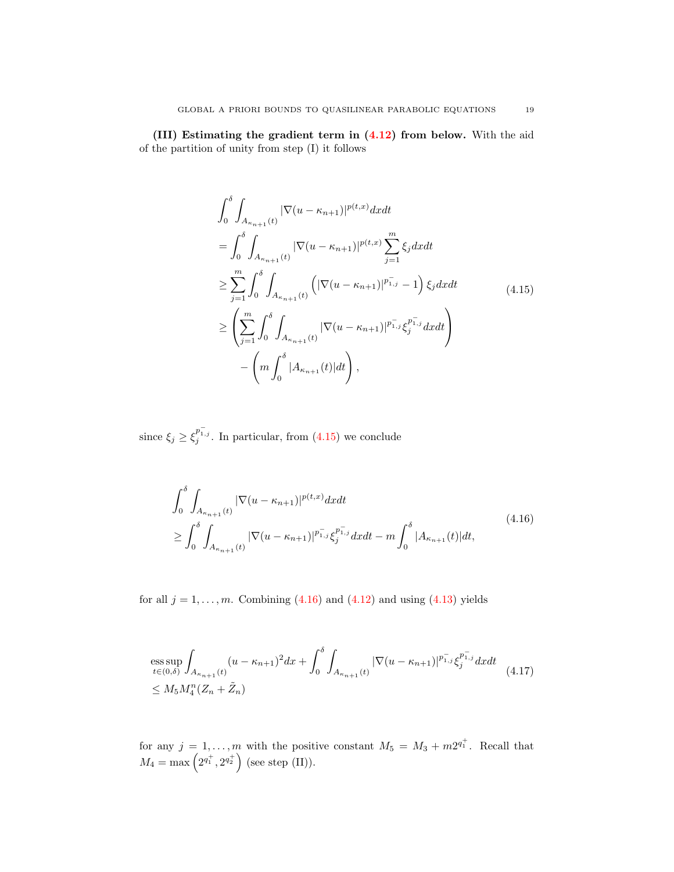(III) Estimating the gradient term in [\(4.12\)](#page-17-2) from below. With the aid of the partition of unity from step (I) it follows

<span id="page-18-0"></span>
$$
\int_{0}^{\delta} \int_{A_{\kappa_{n+1}}(t)} |\nabla(u - \kappa_{n+1})|^{p(t,x)} dx dt \n= \int_{0}^{\delta} \int_{A_{\kappa_{n+1}}(t)} |\nabla(u - \kappa_{n+1})|^{p(t,x)} \sum_{j=1}^{m} \xi_{j} dx dt \n\geq \sum_{j=1}^{m} \int_{0}^{\delta} \int_{A_{\kappa_{n+1}}(t)} \left( |\nabla(u - \kappa_{n+1})|^{p_{1,j}^{+}} - 1 \right) \xi_{j} dx dt \n\geq \left( \sum_{j=1}^{m} \int_{0}^{\delta} \int_{A_{\kappa_{n+1}}(t)} |\nabla(u - \kappa_{n+1})|^{p_{1,j}^{+}} \xi_{j}^{p_{1,j}^{+}} dx dt \right) \n- \left( m \int_{0}^{\delta} |A_{\kappa_{n+1}}(t)| dt \right),
$$
\n(4.15)

since  $\xi_j \geq \xi_j^{p_{1,j}^-}$ . In particular, from [\(4.15\)](#page-18-0) we conclude

<span id="page-18-1"></span>
$$
\int_{0}^{\delta} \int_{A_{\kappa_{n+1}}(t)} |\nabla(u - \kappa_{n+1})|^{p(t,x)} dx dt
$$
\n
$$
\geq \int_{0}^{\delta} \int_{A_{\kappa_{n+1}}(t)} |\nabla(u - \kappa_{n+1})|^{p_{1,j}^{-1}} \xi_j^{p_{1,j}^{-1}} dx dt - m \int_{0}^{\delta} |A_{\kappa_{n+1}}(t)| dt,
$$
\n(4.16)

for all  $j = 1, \ldots, m$ . Combining  $(4.16)$  and  $(4.12)$  and using  $(4.13)$  yields

<span id="page-18-2"></span>ess sup 
$$
\int_{A_{\kappa_{n+1}}(t)} (u - \kappa_{n+1})^2 dx + \int_0^{\delta} \int_{A_{\kappa_{n+1}}(t)} |\nabla (u - \kappa_{n+1})|^{p_{1,j}^-, \xi_j^{p_{1,j}^-,} dx dt
$$
  
\n $\leq M_5 M_4^n (Z_n + \tilde{Z}_n)$  (4.17)

for any  $j = 1, ..., m$  with the positive constant  $M_5 = M_3 + m2^{q_1^+}$ . Recall that  $M_4 = \max\left(2^{q_1^+}, 2^{q_2^+}\right)$  (see step (II)).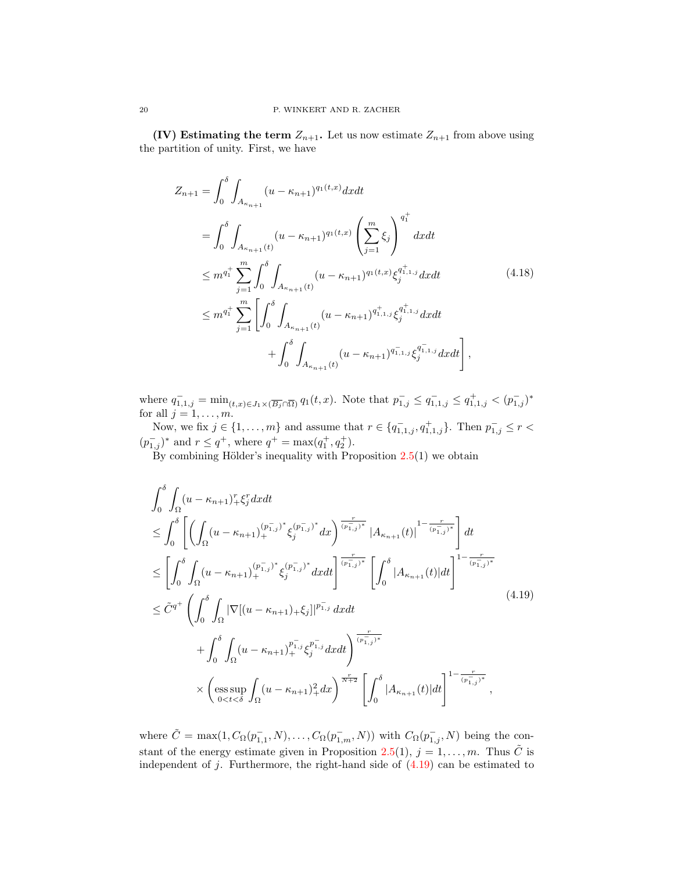(IV) Estimating the term  $Z_{n+1}$ . Let us now estimate  $Z_{n+1}$  from above using the partition of unity. First, we have

<span id="page-19-1"></span>
$$
Z_{n+1} = \int_0^{\delta} \int_{A_{\kappa_{n+1}}} (u - \kappa_{n+1})^{q_1(t,x)} dx dt
$$
  
\n
$$
= \int_0^{\delta} \int_{A_{\kappa_{n+1}}(t)} (u - \kappa_{n+1})^{q_1(t,x)} \left(\sum_{j=1}^m \xi_j\right)^{q_1^+} dx dt
$$
  
\n
$$
\leq m^{q_1^+} \sum_{j=1}^m \int_0^{\delta} \int_{A_{\kappa_{n+1}}(t)} (u - \kappa_{n+1})^{q_1(t,x)} \xi_j^{q_{1,1,j}^+} dx dt
$$
  
\n
$$
\leq m^{q_1^+} \sum_{j=1}^m \left[ \int_0^{\delta} \int_{A_{\kappa_{n+1}}(t)} (u - \kappa_{n+1})^{q_{1,1,j}^+} \xi_j^{q_{1,1,j}^+} dx dt + \int_0^{\delta} \int_{A_{\kappa_{n+1}}(t)} (u - \kappa_{n+1})^{q_{1,1,j}^-} \xi_j^{q_{1,1,j}^-} dx dt \right],
$$
\n(4.18)

where  $q_{1,1,j}^- = \min_{(t,x)\in J_1\times(\overline{B_j}\cap\overline{\Omega})} q_1(t,x)$ . Note that  $p_{1,j}^- \leq q_{1,1,j}^- \leq q_{1,1,j}^+ < (p_{1,j}^-)^*$ for all  $j = 1, \ldots, m$ .

Now, we fix  $j \in \{1, ..., m\}$  and assume that  $r \in \{q_{1,1,j}^-, q_{1,1,j}^+\}$ . Then  $p_{1,j}^- \le r <$  $(p_{1,j}^-)^*$  and  $r \leq q^+$ , where  $q^+ = \max(q_1^+, q_2^+)$ .

By combining Hölder's inequality with Proposition  $2.5(1)$  $2.5(1)$  we obtain

<span id="page-19-0"></span>
$$
\int_{0}^{\delta} \int_{\Omega} (u - \kappa_{n+1})_{+}^{r} \xi_{j}^{r} dx dt
$$
\n
$$
\leq \int_{0}^{\delta} \left[ \left( \int_{\Omega} (u - \kappa_{n+1})_{+}^{(p_{1,j}^{-})^{*}} \xi_{j}^{(p_{1,j}^{-})^{*}} dx \right)^{\frac{r}{(p_{1,j}^{-})^{*}}} \left| A_{\kappa_{n+1}}(t) \right|^{1 - \frac{r}{(p_{1,j}^{-})^{*}}} \right] dt
$$
\n
$$
\leq \left[ \int_{0}^{\delta} \int_{\Omega} (u - \kappa_{n+1})_{+}^{(p_{1,j}^{-})^{*}} \xi_{j}^{(p_{1,j}^{-})^{*}} dx dt \right]^{\frac{r}{(p_{1,j}^{-})^{*}}} \left[ \int_{0}^{\delta} |A_{\kappa_{n+1}}(t)| dt \right]^{1 - \frac{r}{(p_{1,j}^{-})^{*}}} + \int_{0}^{\delta} \int_{\Omega} |\nabla [(u - \kappa_{n+1})_{+} \xi_{j}]|^{p_{1,j}^{-}} dx dt + \int_{0}^{\delta} \int_{\Omega} (u - \kappa_{n+1})_{+}^{p_{1,j}^{-}} \xi_{j}^{p_{1,j}^{-}} dx dt + \int_{0}^{\delta} \int_{\Omega} (u - \kappa_{n+1})_{+}^{p_{1,j}^{-}} \xi_{j}^{p_{1,j}^{-}} dx dt + \int_{0}^{\frac{r}{(p_{1,j}^{-})^{*}}} \left[ \int_{0}^{\delta} |A_{\kappa_{n+1}}(t)| dt \right]^{1 - \frac{r}{(p_{1,j}^{-})^{*}}},
$$
\n(A.19)

where  $\tilde{C} = \max(1, C_{\Omega}(p_{1,1}^-, N), \ldots, C_{\Omega}(p_{1,m}^-, N))$  with  $C_{\Omega}(p_{1,j}^-, N)$  being the con-stant of the energy estimate given in Proposition [2.5\(](#page-7-0)1),  $j = 1, ..., m$ . Thus  $\tilde{C}$  is independent of  $j$ . Furthermore, the right-hand side of  $(4.19)$  can be estimated to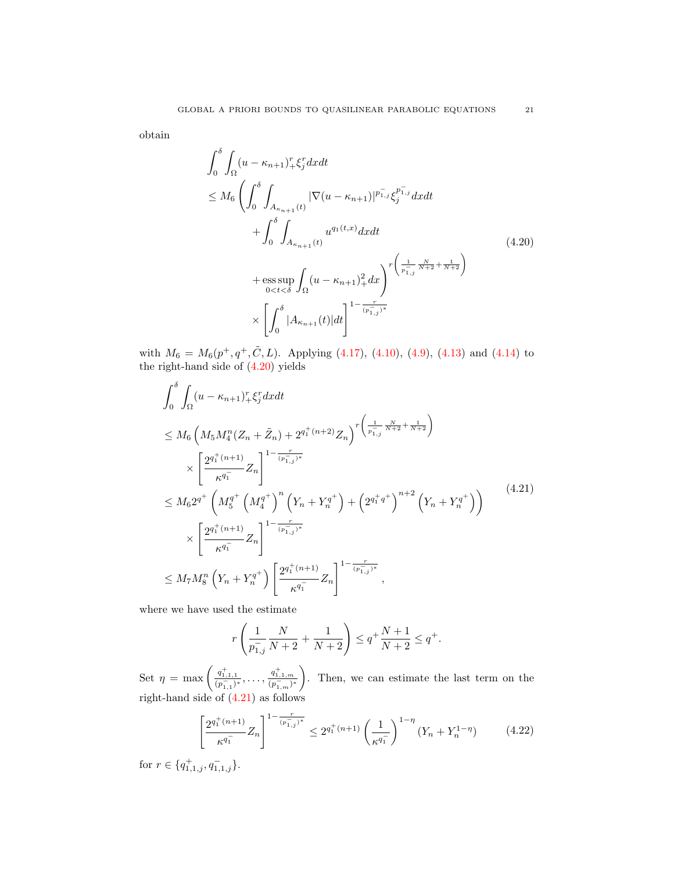obtain

<span id="page-20-0"></span>
$$
\int_{0}^{\delta} \int_{\Omega} (u - \kappa_{n+1})_{+}^{r} \xi_{j}^{r} dx dt
$$
\n
$$
\leq M_{6} \left( \int_{0}^{\delta} \int_{A_{\kappa_{n+1}}(t)} |\nabla(u - \kappa_{n+1})|^{p_{1,j}^{+}} \xi_{j}^{p_{1,j}^{+}} dx dt + \int_{0}^{\delta} \int_{A_{\kappa_{n+1}}(t)} u^{q_{1}(t,x)} dx dt + \text{ess} \sup_{0 < t < \delta} \int_{\Omega} (u - \kappa_{n+1})_{+}^{2} dx \right)^{r \left( \frac{1}{p_{1,j}^{+}} \frac{N}{N+2} + \frac{1}{N+2} \right)} \times \left[ \int_{0}^{\delta} |A_{\kappa_{n+1}}(t)| dt \right]^{1 - \frac{r}{(p_{1,j}^{+})^{*}}} \tag{4.20}
$$

with  $M_6 = M_6(p^+, q^+, \tilde{C}, L)$ . Applying [\(4.17\)](#page-18-2), [\(4.10\)](#page-17-0), [\(4.9\)](#page-16-0), [\(4.13\)](#page-17-3) and [\(4.14\)](#page-17-4) to the right-hand side of [\(4.20\)](#page-20-0) yields

$$
\int_{0}^{\delta} \int_{\Omega} (u - \kappa_{n+1})_{+}^{r} \xi_{j}^{r} dx dt
$$
\n
$$
\leq M_{6} \left( M_{5} M_{4}^{n} (Z_{n} + \tilde{Z}_{n}) + 2^{q_{1}^{+}(n+2)} Z_{n} \right)^{r \left( \frac{1}{p_{1,j}^{+}} \frac{N}{N+2} + \frac{1}{N+2} \right)}
$$
\n
$$
\times \left[ \frac{2^{q_{1}^{+}(n+1)}}{\kappa^{q_{1}^{-}}} Z_{n} \right]^{1 - \frac{r}{(p_{1,j}^{+})^{*}}}
$$
\n
$$
\leq M_{6} 2^{q^{+}} \left( M_{5}^{q^{+}} \left( M_{4}^{q^{+}} \right)^{n} \left( Y_{n} + Y_{n}^{q^{+}} \right) + \left( 2^{q_{1}^{+} q^{+}} \right)^{n+2} \left( Y_{n} + Y_{n}^{q^{+}} \right) \right)
$$
\n
$$
\times \left[ \frac{2^{q_{1}^{+}(n+1)}}{\kappa^{q_{1}^{-}}} Z_{n} \right]^{1 - \frac{r}{(p_{1,j}^{+})^{*}}}
$$
\n
$$
\leq M_{7} M_{8}^{n} \left( Y_{n} + Y_{n}^{q^{+}} \right) \left[ \frac{2^{q_{1}^{+}(n+1)}}{\kappa^{q_{1}^{-}}} Z_{n} \right]^{1 - \frac{r}{(p_{1,j}^{+})^{*}}}, \qquad (4.21)
$$

where we have used the estimate

<span id="page-20-2"></span><span id="page-20-1"></span>
$$
r\left(\frac{1}{p_{1,j}^-} \frac{N}{N+2} + \frac{1}{N+2}\right) \le q^+ \frac{N+1}{N+2} \le q^+.
$$

Set  $\eta = \max\left(\frac{q_{1,1,1}^+}{(p_{1,1}^-)^*}, \ldots, \frac{q_{1,1,m}^+}{(p_{1,m}^-)^*}\right)$  . Then, we can estimate the last term on the right-hand side of  $(4.21)$  as follows

$$
\left[\frac{2^{q_1^+(n+1)}}{\kappa^{q_1^-}}Z_n\right]^{1-\frac{r}{(p_{1,j}^-)^*}} \le 2^{q_1^+(n+1)}\left(\frac{1}{\kappa^{q_1^-}}\right)^{1-\eta}\left(Y_n + Y_n^{1-\eta}\right) \tag{4.22}
$$

for  $r \in \{q_{1,1,j}^+, q_{1,1,j}^-\}.$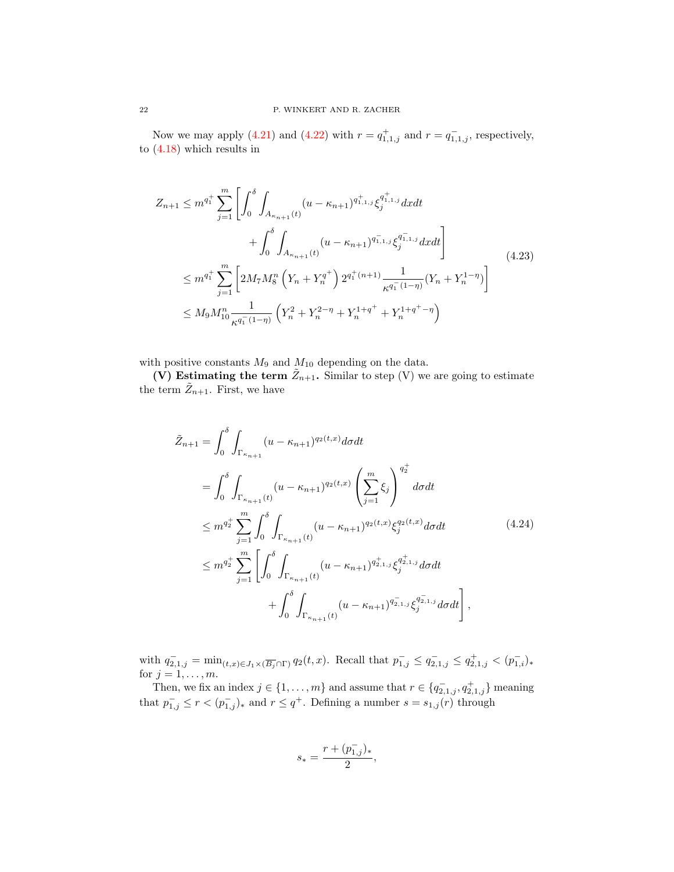Now we may apply [\(4.21\)](#page-20-1) and [\(4.22\)](#page-20-2) with  $r = q_{1,1,j}^+$  and  $r = q_{1,1,j}^-$ , respectively, to [\(4.18\)](#page-19-1) which results in

<span id="page-21-1"></span>
$$
Z_{n+1} \leq m^{q_1^+} \sum_{j=1}^m \left[ \int_0^{\delta} \int_{A_{\kappa_{n+1}}(t)} (u - \kappa_{n+1})^{q_{1,1,j}^+} \xi_j^{q_{1,1,j}^+} dx dt \right. \\
\left. + \int_0^{\delta} \int_{A_{\kappa_{n+1}}(t)} (u - \kappa_{n+1})^{q_{1,1,j}^-} \xi_j^{q_{1,1,j}^-} dx dt \right] \\
\leq m^{q_1^+} \sum_{j=1}^m \left[ 2M_7 M_8^n \left( Y_n + Y_n^{q^+} \right) 2^{q_1^+(n+1)} \frac{1}{\kappa^{q_1^-(1-\eta)}} (Y_n + Y_n^{1-\eta}) \right] \\
\leq M_9 M_{10}^n \frac{1}{\kappa^{q_1^-(1-\eta)}} \left( Y_n^2 + Y_n^{2-\eta} + Y_n^{1+q^+} + Y_n^{1+q^+-\eta} \right)
$$
\n(4.23)

with positive constants  $M_9$  and  $M_{10}$  depending on the data.

(V) Estimating the term  $\tilde{Z}_{n+1}$ . Similar to step (V) we are going to estimate the term  $\tilde{Z}_{n+1}$ . First, we have

$$
\tilde{Z}_{n+1} = \int_0^{\delta} \int_{\Gamma_{\kappa_{n+1}}} (u - \kappa_{n+1})^{q_2(t,x)} d\sigma dt \n= \int_0^{\delta} \int_{\Gamma_{\kappa_{n+1}}(t)} (u - \kappa_{n+1})^{q_2(t,x)} \left( \sum_{j=1}^m \xi_j \right)^{q_2^+} d\sigma dt \n\leq m^{q_2^+} \sum_{j=1}^m \int_0^{\delta} \int_{\Gamma_{\kappa_{n+1}}(t)} (u - \kappa_{n+1})^{q_2(t,x)} \xi_j^{q_2(t,x)} d\sigma dt \n\leq m^{q_2^+} \sum_{j=1}^m \left[ \int_0^{\delta} \int_{\Gamma_{\kappa_{n+1}}(t)} (u - \kappa_{n+1})^{q_{2,1,j}^+} \xi_j^{q_{2,1,j}^+} d\sigma dt \n+ \int_0^{\delta} \int_{\Gamma_{\kappa_{n+1}}(t)} (u - \kappa_{n+1})^{q_{2,1,j}^-} \xi_j^{q_{2,1,j}^-} d\sigma dt \right],
$$
\n(4.24)

with  $q_{2,1,j}^-\ = \min_{(t,x)\in J_1\times (\overline{B_j}\cap \Gamma)} q_2(t,x)$ . Recall that  $p_{1,j}^-\leq q_{2,1,j}^-\leq q_{2,1,j}^+ < (p_{1,i}^-)_*$ for  $j = 1, \ldots, m$ .

Then, we fix an index  $j \in \{1, \ldots, m\}$  and assume that  $r \in \{q_{2,1,j}^-, q_{2,1,j}^+\}$  meaning that  $p_{1,j}^- \leq r < (p_{1,j}^-)_*$  and  $r \leq q^+$ . Defining a number  $s = s_{1,j}(r)$  through

<span id="page-21-0"></span>
$$
s_*=\frac{r+(p_{1,j}^-)_*}{2},
$$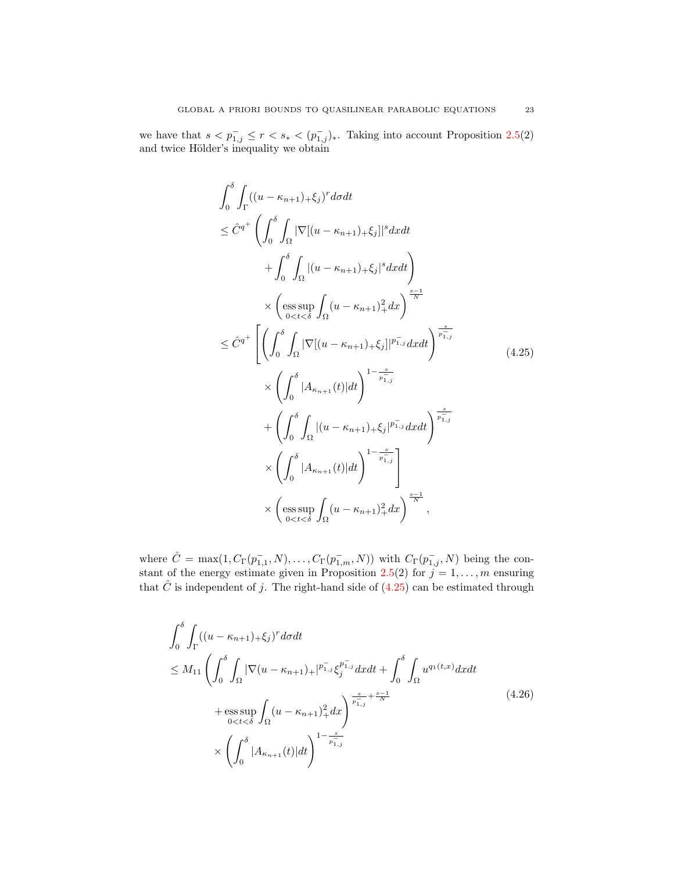we have that  $s < p_{1,j}^- \leq r < s_* < (p_{1,j}^-)_*.$  Taking into account Proposition [2.5\(](#page-7-0)2) and twice Hölder's inequality we obtain

<span id="page-22-0"></span>
$$
\int_{0}^{\delta} \int_{\Gamma} ((u - \kappa_{n+1}) + \xi_{j})^{r} d\sigma dt
$$
\n
$$
\leq \hat{C}^{q^{+}} \left( \int_{0}^{\delta} \int_{\Omega} |\nabla [(u - \kappa_{n+1}) + \xi_{j}]|^{s} dxdt + \int_{0}^{\delta} \int_{\Omega} |(u - \kappa_{n+1}) + \xi_{j}|^{s} dxdt \right)
$$
\n
$$
\times \left( \underset{0 < t < \delta}{\operatorname{ess}} \sup_{\Omega} \int_{\Omega} (u - \kappa_{n+1})_{+}^{2} d\sigma \right)^{\frac{s-1}{N}}
$$
\n
$$
\leq \hat{C}^{q^{+}} \left[ \left( \int_{0}^{\delta} \int_{\Omega} |\nabla [(u - \kappa_{n+1}) + \xi_{j}]|^{p_{1,j}^{+}} d\sigma dt \right)^{\frac{s}{p_{1,j}^{-}}} \right] \times \left( \int_{0}^{\delta} |A_{\kappa_{n+1}}(t)| dt \right)^{1 - \frac{s}{p_{1,j}^{-}}} + \left( \int_{0}^{\delta} \int_{\Omega} |(u - \kappa_{n+1}) + \xi_{j}|^{p_{1,j}^{-}} d\sigma dt \right)^{\frac{s}{p_{1,j}^{-}}} \times \left( \int_{0}^{\delta} |A_{\kappa_{n+1}}(t)| dt \right)^{1 - \frac{s}{p_{1,j}^{-}}} \times \left( \underset{0 < t < \delta}{\operatorname{ess}} \int_{\Omega} (u - \kappa_{n+1})_{+}^{2} d\sigma \right)^{\frac{s-1}{N}},
$$

where  $\hat{C} = \max(1, C_{\Gamma}(p_{1,1}^-, N), \ldots, C_{\Gamma}(p_{1,m}^-, N))$  with  $C_{\Gamma}(p_{1,j}^-, N)$  being the con-stant of the energy estimate given in Proposition [2.5\(](#page-7-0)2) for  $j = 1, \ldots, m$  ensuring that  $\hat{C}$  is independent of j. The right-hand side of [\(4.25\)](#page-22-0) can be estimated through

<span id="page-22-1"></span>
$$
\int_{0}^{\delta} \int_{\Gamma} ((u - \kappa_{n+1})_{+} \xi_{j})^{r} d\sigma dt
$$
\n
$$
\leq M_{11} \left( \int_{0}^{\delta} \int_{\Omega} |\nabla (u - \kappa_{n+1})_{+}|^{p_{1,j}^{-}} \xi_{j}^{p_{1,j}^{-}} d\mathbf{x} dt + \int_{0}^{\delta} \int_{\Omega} u^{q_{1}(t,x)} d\mathbf{x} dt + \text{ess} \sup_{0 < t < \delta} \int_{\Omega} (u - \kappa_{n+1})_{+}^{2} d\mathbf{x} \right)^{\frac{s}{p_{1,j}^{-}} + \frac{s-1}{N}} \tag{4.26}
$$
\n
$$
\times \left( \int_{0}^{\delta} |A_{\kappa_{n+1}}(t)| dt \right)^{1 - \frac{s}{p_{1,j}^{-}}}.
$$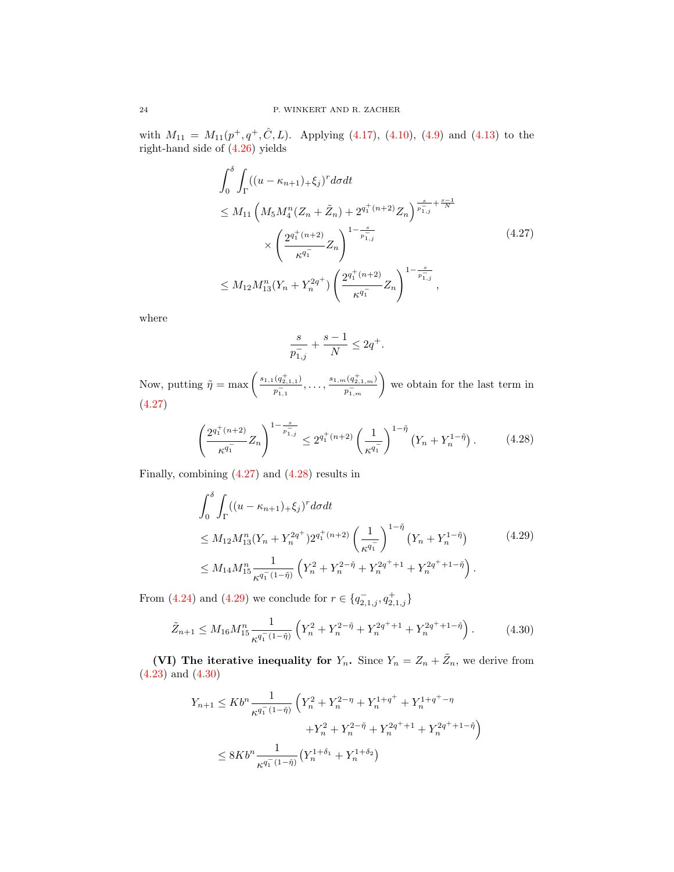with  $M_{11} = M_{11}(p^+, q^+, \hat{C}, L)$ . Applying [\(4.17\)](#page-18-2), [\(4.10\)](#page-17-0), [\(4.9\)](#page-16-0) and [\(4.13\)](#page-17-3) to the right-hand side of [\(4.26\)](#page-22-1) yields

$$
\int_{0}^{\delta} \int_{\Gamma} ((u - \kappa_{n+1})_{+} \xi_{j})^{r} d\sigma dt
$$
\n
$$
\leq M_{11} \left( M_{5} M_{4}^{n} (Z_{n} + \tilde{Z}_{n}) + 2^{q_{1}^{+}(n+2)} Z_{n} \right)^{\frac{s}{p_{1,j}^{-}} + \frac{s-1}{N}}
$$
\n
$$
\times \left( \frac{2^{q_{1}^{+}(n+2)}}{\kappa^{q_{1}^{-}}} Z_{n} \right)^{1 - \frac{s}{p_{1,j}^{-}}} \tag{4.27}
$$
\n
$$
\leq M_{12} M_{13}^{n} (Y_{n} + Y_{n}^{2q^{+}}) \left( \frac{2^{q_{1}^{+}(n+2)}}{\kappa^{q_{1}^{-}}} Z_{n} \right)^{1 - \frac{s}{p_{1,j}^{-}}} ,
$$

where

<span id="page-23-2"></span><span id="page-23-1"></span><span id="page-23-0"></span>
$$
\frac{s}{p_{1,j}^-}+\frac{s-1}{N}\leq 2q^+.
$$

Now, putting  $\tilde{\eta} = \max \left( \frac{s_{1,1}(q_{2,1,1}^+) }{s_{2,1,1}} \right)$  $\frac{(q^+_{2,1,1})}{p^-_{1,1}},\ldots,\frac{s_{1,m}(q^+_{2,1,m})}{p^-_{1,m}}$  $\left(\frac{p_{2,1,m}^+(q_{2,1,m}^+)}{p_{1,m}^-}\right)$  we obtain for the last term in [\(4.27\)](#page-23-0)

$$
\left(\frac{2^{q_1^+(n+2)}}{\kappa^{q_1^-}}Z_n\right)^{1-\frac{s}{p_{1,j}^-}} \le 2^{q_1^+(n+2)}\left(\frac{1}{\kappa^{q_1^-}}\right)^{1-\tilde{\eta}}\left(Y_n + Y_n^{1-\tilde{\eta}}\right). \tag{4.28}
$$

Finally, combining [\(4.27\)](#page-23-0) and [\(4.28\)](#page-23-1) results in

$$
\int_{0}^{\delta} \int_{\Gamma} ((u - \kappa_{n+1})_{+} \xi_{j})^{r} d\sigma dt
$$
\n
$$
\leq M_{12} M_{13}^{n} (Y_{n} + Y_{n}^{2q^{+}}) 2^{q_{1}^{+}(n+2)} \left(\frac{1}{\kappa^{q_{1}^{-}}}\right)^{1-\tilde{\eta}} \left(Y_{n} + Y_{n}^{1-\tilde{\eta}}\right) \tag{4.29}
$$
\n
$$
\leq M_{14} M_{15}^{n} \frac{1}{\kappa^{q_{1}^{-}} (1-\tilde{\eta})} \left(Y_{n}^{2} + Y_{n}^{2-\tilde{\eta}} + Y_{n}^{2q^{+}+1} + Y_{n}^{2q^{+}+1-\tilde{\eta}}\right).
$$

From [\(4.24\)](#page-21-0) and [\(4.29\)](#page-23-2) we conclude for  $r \in \{q_{2,1,j}^-, q_{2,1,j}^+\}$ 

$$
\tilde{Z}_{n+1} \le M_{16} M_{15}^n \frac{1}{\kappa^{q_1^-(1-\tilde{\eta})}} \left( Y_n^2 + Y_n^{2-\tilde{\eta}} + Y_n^{2q^+ + 1} + Y_n^{2q^+ + 1-\tilde{\eta}} \right). \tag{4.30}
$$

(VI) The iterative inequality for  $Y_n$ . Since  $Y_n = Z_n + \tilde{Z}_n$ , we derive from  $(4.23)$  and  $(4.30)$ 

<span id="page-23-3"></span>
$$
\begin{aligned} Y_{n+1} &\leq Kb^n \frac{1}{\kappa^{q_1^- (1-\hat{\eta})}} \left( Y_n^2 + Y_n^{2-\eta} + Y_n^{1+q^+} + Y_n^{1+q^+-\eta} \right. \\ &\quad \left. + Y_n^2 + Y_n^{2-\tilde{\eta}} + Y_n^{2q^++1} + Y_n^{2q^++1-\tilde{\eta}} \right) \\ &\leq 8Kb^n \frac{1}{\kappa^{q_1^- (1-\hat{\eta})}} \left( Y_n^{1+\delta_1} + Y_n^{1+\delta_2} \right) \end{aligned}
$$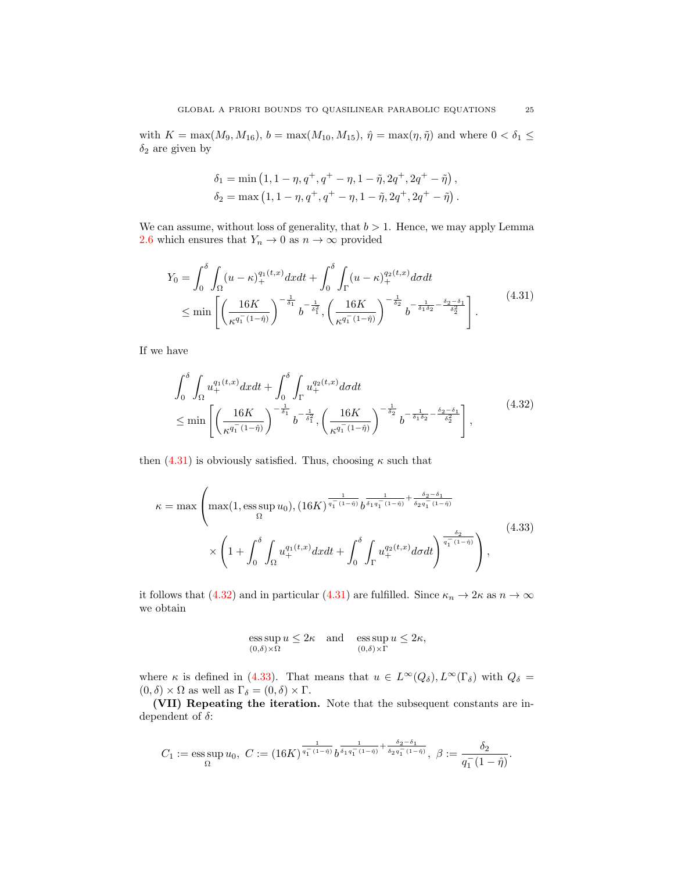with  $K = \max(M_9, M_{16}), b = \max(M_{10}, M_{15}), \hat{\eta} = \max(\eta, \tilde{\eta})$  and where  $0 < \delta_1 \le$  $\delta_2$  are given by

<span id="page-24-0"></span>
$$
\begin{aligned} \delta_1 &= \min \left(1, 1-\eta, q^+, q^+ - \eta, 1-\tilde{\eta}, 2q^+, 2q^+ - \tilde{\eta} \right), \\ \delta_2 &= \max \left(1, 1-\eta, q^+, q^+ - \eta, 1-\tilde{\eta}, 2q^+, 2q^+ - \tilde{\eta} \right). \end{aligned}
$$

We can assume, without loss of generality, that  $b > 1$ . Hence, we may apply Lemma [2.6](#page-8-0) which ensures that  $Y_n \to 0$  as  $n \to \infty$  provided

$$
Y_0 = \int_0^{\delta} \int_{\Omega} (u - \kappa)_+^{q_1(t,x)} dx dt + \int_0^{\delta} \int_{\Gamma} (u - \kappa)_+^{q_2(t,x)} d\sigma dt
$$
  
\$\leq\$ min  $\left[ \left( \frac{16K}{\kappa^{q_1^-(1-\hat{\eta})}} \right)^{-\frac{1}{\delta_1}} b^{-\frac{1}{\delta_1^2}}, \left( \frac{16K}{\kappa^{q_1^-(1-\hat{\eta})}} \right)^{-\frac{1}{\delta_2}} b^{-\frac{1}{\delta_1 \delta_2} - \frac{\delta_2 - \delta_1}{\delta_2^2}} \right].$  (4.31)

If we have

<span id="page-24-1"></span>
$$
\int_{0}^{\delta} \int_{\Omega} u_{+}^{q_{1}(t,x)} dx dt + \int_{0}^{\delta} \int_{\Gamma} u_{+}^{q_{2}(t,x)} d\sigma dt
$$
\n
$$
\leq \min \left[ \left( \frac{16K}{\kappa^{q_{1}^{-}}(1-\hat{\eta})} \right)^{-\frac{1}{\delta_{1}}} b^{-\frac{1}{\delta_{1}^{2}}}, \left( \frac{16K}{\kappa^{q_{1}^{-}}(1-\hat{\eta})} \right)^{-\frac{1}{\delta_{2}}} b^{-\frac{1}{\delta_{1}\delta_{2}} - \frac{\delta_{2}-\delta_{1}}{\delta_{2}^{2}}} \right],
$$
\n(4.32)

then  $(4.31)$  is obviously satisfied. Thus, choosing  $\kappa$  such that

$$
\kappa = \max \left( \max(1, \text{ess}\sup_{\Omega} u_0), (16K)^{\frac{1}{q_1^-(1-\hat{\eta})}} b^{\frac{1}{\delta_1 q_1^-(1-\hat{\eta})} + \frac{\delta_2 - \delta_1}{\delta_2 q_1^-(1-\hat{\eta})}} \times \left( 1 + \int_0^{\delta} \int_{\Omega} u_+^{q_1(t,x)} dx dt + \int_0^{\delta} \int_{\Gamma} u_+^{q_2(t,x)} d\sigma dt \right)^{\frac{\delta_2}{q_1^-(1-\hat{\eta})}} \right),
$$
\n(4.33)

it follows that [\(4.32\)](#page-24-1) and in particular [\(4.31\)](#page-24-0) are fulfilled. Since  $\kappa_n \to 2\kappa$  as  $n \to \infty$ we obtain

<span id="page-24-2"></span>ess sup 
$$
u \le 2\kappa
$$
 and ess sup  $u \le 2\kappa$ ,  
 $(0,\delta)\times\Omega$  (0,\delta)\times\Gamma

where  $\kappa$  is defined in [\(4.33\)](#page-24-2). That means that  $u \in L^{\infty}(Q_{\delta}), L^{\infty}(\Gamma_{\delta})$  with  $Q_{\delta} =$  $(0, \delta) \times \Omega$  as well as  $\Gamma_{\delta} = (0, \delta) \times \Gamma$ .

(VII) Repeating the iteration. Note that the subsequent constants are independent of  $\delta$ :

$$
C_1 := \operatorname*{ess\,sup}_{\Omega} u_0, \ C := (16K)^{\frac{1}{q_1^-(1-\tilde{\eta})}} b^{\frac{1}{\delta_1 q_1^-(1-\tilde{\eta})} + \frac{\delta_2 - \delta_1}{\delta_2 q_1^-(1-\tilde{\eta})}}, \ \beta := \frac{\delta_2}{q_1^-(1-\tilde{\eta})}.
$$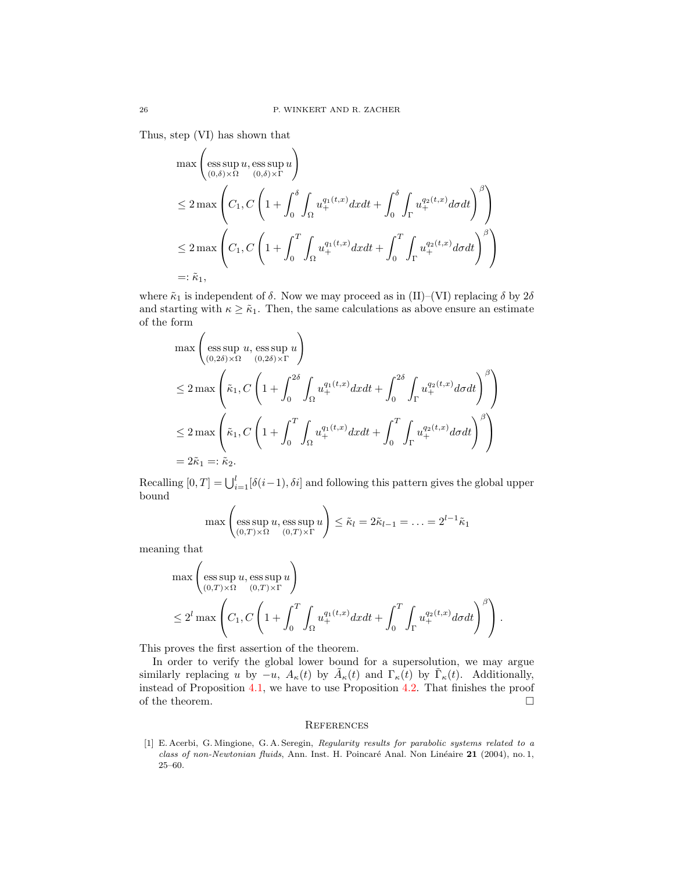Thus, step (VI) has shown that

$$
\max\left(\underset{(0,\delta)\times\Omega}{\operatorname{ess\,sup}} u,\underset{(0,\delta)\times\Gamma}{\operatorname{ess\,sup}} u\right)
$$
  
\n
$$
\leq 2\max\left(C_1,C\left(1+\int_0^\delta\int_\Omega u_+^{q_1(t,x)}dxdt+\int_0^\delta\int_\Gamma u_+^{q_2(t,x)}d\sigma dt\right)^\beta\right)
$$
  
\n
$$
\leq 2\max\left(C_1,C\left(1+\int_0^T\int_\Omega u_+^{q_1(t,x)}dxdt+\int_0^T\int_\Gamma u_+^{q_2(t,x)}d\sigma dt\right)^\beta\right)
$$
  
\n=:\tilde{\kappa}\_1,

where  $\tilde\kappa_1$  is independent of  $\delta$ . Now we may proceed as in (II)–(VI) replacing  $\delta$  by  $2\delta$ and starting with  $\kappa \geq \tilde{\kappa}_1$ . Then, the same calculations as above ensure an estimate of the form

$$
\max\left(\underset{(0,2\delta)\times\Omega}{\operatorname{ess\,sup}} u, \underset{(0,2\delta)\times\Gamma}{\operatorname{ess\,sup}} u\right)
$$
  
\n
$$
\leq 2 \max\left(\tilde{\kappa}_1, C\left(1+\int_0^{2\delta} \int_{\Omega} u_+^{q_1(t,x)} dxdt + \int_0^{2\delta} \int_{\Gamma} u_+^{q_2(t,x)} d\sigma dt\right)^{\beta}\right)
$$
  
\n
$$
\leq 2 \max\left(\tilde{\kappa}_1, C\left(1+\int_0^T \int_{\Omega} u_+^{q_1(t,x)} dxdt + \int_0^T \int_{\Gamma} u_+^{q_2(t,x)} d\sigma dt\right)^{\beta}\right)
$$
  
\n
$$
= 2\tilde{\kappa}_1 =: \tilde{\kappa}_2.
$$

Recalling  $[0, T] = \bigcup_{i=1}^{l} [\delta(i-1), \delta i]$  and following this pattern gives the global upper bound

$$
\max\left(\operatorname*{ess\,sup}_{(0,T)\times\Omega} u, \operatorname*{ess\,sup}_{(0,T)\times\Gamma} u\right) \leq \tilde{\kappa}_l = 2\tilde{\kappa}_{l-1} = \ldots = 2^{l-1}\tilde{\kappa}_1
$$

meaning that

$$
\max\left(\underset{(0,T)\times\Omega}{\operatorname{ess\,sup}} u, \underset{(0,T)\times\Gamma}{\operatorname{ess\,sup}} u\right)
$$
  
\$\leq 2^l\$ max  $\left(C_1, C\left(1+\int_0^T\int_{\Omega} u_+^{q_1(t,x)} dxdt + \int_0^T\int_{\Gamma} u_+^{q_2(t,x)} d\sigma dt\right)^{\beta}\right).$ 

This proves the first assertion of the theorem.

In order to verify the global lower bound for a supersolution, we may argue similarly replacing u by  $-u$ ,  $A_{\kappa}(t)$  by  $\tilde{A}_{\kappa}(t)$  and  $\Gamma_{\kappa}(t)$  by  $\tilde{\Gamma}_{\kappa}(t)$ . Additionally, instead of Proposition [4.1,](#page-11-2) we have to use Proposition [4.2.](#page-15-2) That finishes the proof of the theorem.  $\Box$ 

### **REFERENCES**

<span id="page-25-0"></span>[1] E. Acerbi, G. Mingione, G. A. Seregin, Regularity results for parabolic systems related to a class of non-Newtonian fluids, Ann. Inst. H. Poincaré Anal. Non Linéaire 21 (2004), no. 1, 25–60.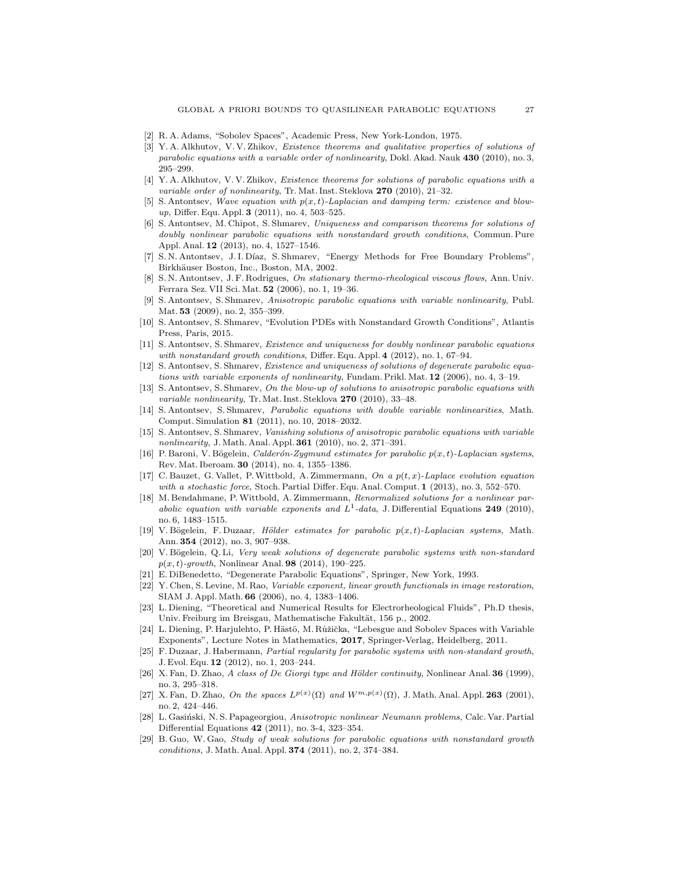- <span id="page-26-26"></span>[2] R. A. Adams, "Sobolev Spaces", Academic Press, New York-London, 1975.
- <span id="page-26-9"></span>[3] Y. A. Alkhutov, V. V. Zhikov, Existence theorems and qualitative properties of solutions of parabolic equations with a variable order of nonlinearity, Dokl. Akad. Nauk 430 (2010), no. 3, 295–299.
- <span id="page-26-10"></span>[4] Y. A. Alkhutov, V. V. Zhikov, Existence theorems for solutions of parabolic equations with a variable order of nonlinearity, Tr. Mat. Inst. Steklova  $270$  (2010), 21–32.
- <span id="page-26-11"></span>[5] S. Antontsev, Wave equation with  $p(x, t)$ -Laplacian and damping term: existence and blowup, Differ. Equ. Appl. 3 (2011), no. 4, 503–525.
- <span id="page-26-12"></span>[6] S. Antontsev, M. Chipot, S. Shmarev, Uniqueness and comparison theorems for solutions of doubly nonlinear parabolic equations with nonstandard growth conditions, Commun. Pure Appl. Anal. 12 (2013), no. 4, 1527–1546.
- <span id="page-26-0"></span>[7] S. N. Antontsev, J. I. Díaz, S. Shmarev, "Energy Methods for Free Boundary Problems", Birkhäuser Boston, Inc., Boston, MA, 2002.
- <span id="page-26-1"></span>[8] S. N. Antontsev, J. F. Rodrigues, On stationary thermo-rheological viscous flows, Ann. Univ. Ferrara Sez. VII Sci. Mat. 52 (2006), no. 1, 19–36.
- <span id="page-26-8"></span>[9] S. Antontsev, S. Shmarev, Anisotropic parabolic equations with variable nonlinearity, Publ. Mat. **53** (2009), no. 2, 355–399.
- <span id="page-26-19"></span>[10] S. Antontsev, S. Shmarev, "Evolution PDEs with Nonstandard Growth Conditions", Atlantis Press, Paris, 2015.
- <span id="page-26-14"></span>[11] S. Antontsev, S. Shmarev, Existence and uniqueness for doubly nonlinear parabolic equations with nonstandard growth conditions, Differ. Equ. Appl. 4 (2012), no. 1, 67-94.
- <span id="page-26-13"></span>[12] S. Antontsev, S. Shmarev, Existence and uniqueness of solutions of degenerate parabolic equations with variable exponents of nonlinearity, Fundam. Prikl. Mat. 12 (2006), no. 4, 3–19.
- <span id="page-26-22"></span>[13] S. Antontsev, S. Shmarev, On the blow-up of solutions to anisotropic parabolic equations with variable nonlinearity, Tr. Mat. Inst. Steklova  $270$  (2010), 33-48.
- <span id="page-26-15"></span>[14] S. Antontsev, S. Shmarev, Parabolic equations with double variable nonlinearities, Math. Comput. Simulation 81 (2011), no. 10, 2018–2032.
- <span id="page-26-16"></span>[15] S. Antontsev, S. Shmarev, Vanishing solutions of anisotropic parabolic equations with variable nonlinearity, J. Math. Anal. Appl. **361** (2010), no. 2, 371-391.
- <span id="page-26-5"></span>[16] P. Baroni, V. Bögelein, *Calderón-Zygmund estimates for parabolic p(x,t)-Laplacian systems*, Rev. Mat. Iberoam. 30 (2014), no. 4, 1355–1386.
- <span id="page-26-17"></span>[17] C. Bauzet, G. Vallet, P. Wittbold, A. Zimmermann, On a  $p(t, x)$ -Laplace evolution equation with a stochastic force, Stoch. Partial Differ. Equ. Anal. Comput. 1 (2013), no. 3, 552–570.
- <span id="page-26-23"></span>[18] M. Bendahmane, P.Wittbold, A. Zimmermann, Renormalized solutions for a nonlinear parabolic equation with variable exponents and  $L^1$ -data, J. Differential Equations 249 (2010), no. 6, 1483–1515.
- <span id="page-26-4"></span>[19] V. Bögelein, F. Duzaar, Hölder estimates for parabolic  $p(x,t)$ -Laplacian systems, Math. Ann. 354 (2012), no. 3, 907–938.
- <span id="page-26-6"></span>[20] V. Bögelein, Q. Li, Very weak solutions of degenerate parabolic systems with non-standard  $p(x, t)$ -growth, Nonlinear Anal. **98** (2014), 190–225.
- <span id="page-26-27"></span>[21] E. DiBenedetto, "Degenerate Parabolic Equations", Springer, New York, 1993.
- <span id="page-26-2"></span>[22] Y. Chen, S. Levine, M. Rao, Variable exponent, linear growth functionals in image restoration, SIAM J. Appl. Math. 66 (2006), no. 4, 1383–1406.
- <span id="page-26-3"></span>[23] L. Diening, "Theoretical and Numerical Results for Electrorheological Fluids", Ph.D thesis, Univ. Freiburg im Breisgau, Mathematische Fakultät, 156 p., 2002.
- <span id="page-26-25"></span>[24] L. Diening, P. Harjulehto, P. Hästö, M. Růžička, "Lebesgue and Sobolev Spaces with Variable Exponents", Lecture Notes in Mathematics, 2017, Springer-Verlag, Heidelberg, 2011.
- <span id="page-26-7"></span>[25] F. Duzaar, J. Habermann, Partial regularity for parabolic systems with non-standard growth, J. Evol. Equ. 12 (2012), no. 1, 203–244.
- <span id="page-26-20"></span>[26] X. Fan, D. Zhao, A class of De Giorgi type and Hölder continuity, Nonlinear Anal.  $36$  (1999), no. 3, 295–318.
- <span id="page-26-24"></span>[27] X. Fan, D. Zhao, On the spaces  $L^{p(x)}(\Omega)$  and  $W^{m,p(x)}(\Omega)$ , J. Math. Anal. Appl. 263 (2001), no. 2, 424–446.
- <span id="page-26-21"></span>[28] L. Gasiński, N. S. Papageorgiou, Anisotropic nonlinear Neumann problems, Calc. Var. Partial Differential Equations 42 (2011), no. 3-4, 323–354.
- <span id="page-26-18"></span>[29] B. Guo, W. Gao, Study of weak solutions for parabolic equations with nonstandard growth conditions, J. Math. Anal. Appl. 374 (2011), no. 2, 374–384.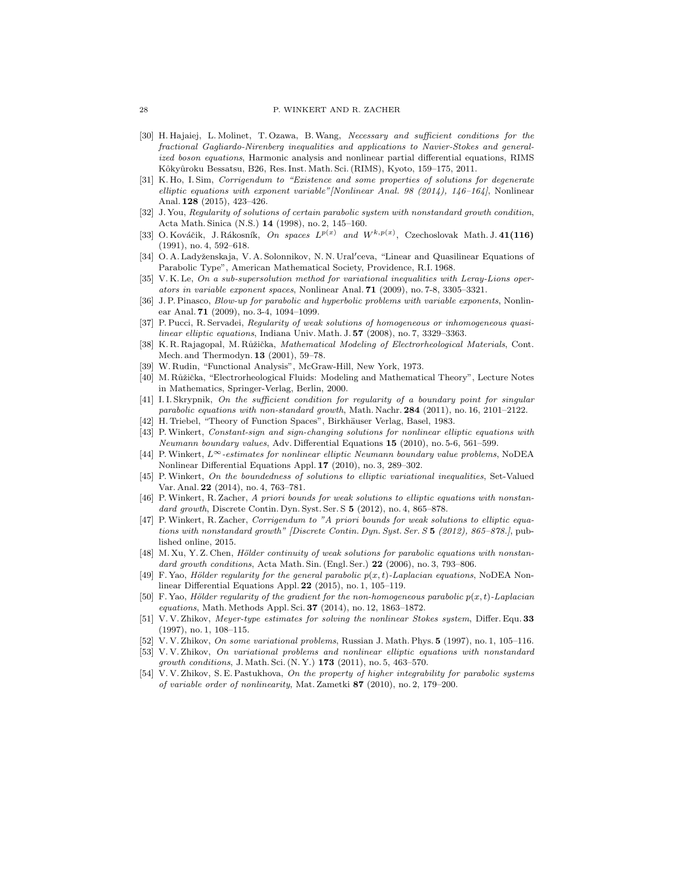#### 28 P. WINKERT AND R. ZACHER

- <span id="page-27-17"></span>[30] H. Hajaiej, L. Molinet, T. Ozawa, B.Wang, Necessary and sufficient conditions for the fractional Gagliardo-Nirenberg inequalities and applications to Navier-Stokes and generalized boson equations, Harmonic analysis and nonlinear partial differential equations, RIMS Kôkyûroku Bessatsu, B26, Res. Inst. Math. Sci. (RIMS), Kyoto, 159-175, 2011.
- <span id="page-27-20"></span>[31] K. Ho, I. Sim, Corrigendum to "Existence and some properties of solutions for degenerate elliptic equations with exponent variable"[Nonlinear Anal. 98 (2014), 146–164], Nonlinear Anal. 128 (2015), 423–426.
- <span id="page-27-10"></span>[32] J. You, Regularity of solutions of certain parabolic system with nonstandard growth condition, Acta Math. Sinica (N.S.) 14 (1998), no. 2, 145–160.
- <span id="page-27-16"></span>[33] O. Kováčik, J. Rákosník, On spaces  $L^{p(x)}$  and  $W^{k,p(x)}$ , Czechoslovak Math. J. 41(116) (1991), no. 4, 592–618.
- <span id="page-27-21"></span>[34] O. A. Ladyženskaja, V. A. Solonnikov, N. N. Ural'ceva, "Linear and Quasilinear Equations of Parabolic Type", American Mathematical Society, Providence, R.I. 1968.
- <span id="page-27-23"></span>[35] V.K. Le, On a sub-supersolution method for variational inequalities with Leray-Lions operators in variable exponent spaces, Nonlinear Anal. 71 (2009), no. 7-8, 3305–3321.
- <span id="page-27-12"></span>[36] J. P. Pinasco, Blow-up for parabolic and hyperbolic problems with variable exponents, Nonlinear Anal. 71 (2009), no. 3-4, 1094–1099.
- <span id="page-27-15"></span>[37] P. Pucci, R. Servadei, Regularity of weak solutions of homogeneous or inhomogeneous quasilinear elliptic equations, Indiana Univ. Math. J. 57 (2008), no. 7, 3329-3363.
- <span id="page-27-0"></span>[38] K. R. Rajagopal, M. Růžička, Mathematical Modeling of Electrorheological Materials, Cont. Mech. and Thermodyn. 13 (2001), 59–78.
- <span id="page-27-24"></span>[39] W. Rudin, "Functional Analysis", McGraw-Hill, New York, 1973.
- <span id="page-27-1"></span>[40] M. Růžička, "Electrorheological Fluids: Modeling and Mathematical Theory", Lecture Notes in Mathematics, Springer-Verlag, Berlin, 2000.
- <span id="page-27-11"></span>[41] I. I. Skrypnik, On the sufficient condition for regularity of a boundary point for singular parabolic equations with non-standard growth, Math. Nachr. 284 (2011), no. 16, 2101–2122.
- <span id="page-27-18"></span>[42] H. Triebel, "Theory of Function Spaces", Birkhäuser Verlag, Basel, 1983.
- <span id="page-27-13"></span>[43] P.Winkert, Constant-sign and sign-changing solutions for nonlinear elliptic equations with Neumann boundary values, Adv. Differential Equations 15 (2010), no. 5-6, 561–599.
- <span id="page-27-14"></span>[44] P.Winkert, L∞-estimates for nonlinear elliptic Neumann boundary value problems, NoDEA Nonlinear Differential Equations Appl. 17 (2010), no. 3, 289–302.
- <span id="page-27-19"></span>[45] P.Winkert, On the boundedness of solutions to elliptic variational inequalities, Set-Valued Var. Anal. 22 (2014), no. 4, 763–781.
- <span id="page-27-4"></span>[46] P.Winkert, R. Zacher, A priori bounds for weak solutions to elliptic equations with nonstandard growth, Discrete Contin. Dyn. Syst. Ser. S 5 (2012), no. 4, 865–878.
- <span id="page-27-5"></span>[47] P.Winkert, R. Zacher, Corrigendum to "A priori bounds for weak solutions to elliptic equations with nonstandard growth" [Discrete Contin. Dyn. Syst. Ser. S 5 (2012), 865–878.], published online, 2015.
- <span id="page-27-6"></span>[48] M. Xu, Y. Z. Chen, Hölder continuity of weak solutions for parabolic equations with nonstandard growth conditions, Acta Math. Sin. (Engl. Ser.)  $22$  (2006), no. 3, 793–806.
- <span id="page-27-7"></span>F. Yao, Hölder regularity for the general parabolic  $p(x, t)$ -Laplacian equations, NoDEA Nonlinear Differential Equations Appl. 22 (2015), no. 1, 105–119.
- <span id="page-27-8"></span>[50] F. Yao, Hölder regularity of the gradient for the non-homogeneous parabolic  $p(x, t)$ -Laplacian equations, Math. Methods Appl. Sci. 37 (2014), no. 12, 1863–1872.
- <span id="page-27-2"></span>[51] V. V. Zhikov, Meyer-type estimates for solving the nonlinear Stokes system, Differ. Equ. 33 (1997), no. 1, 108–115.
- <span id="page-27-3"></span>[52] V. V. Zhikov, On some variational problems, Russian J. Math. Phys. 5 (1997), no. 1, 105–116.
- <span id="page-27-9"></span>[53] V. V. Zhikov, On variational problems and nonlinear elliptic equations with nonstandard growth conditions, J. Math. Sci.  $(N, Y)$  173  $(2011)$ , no. 5, 463-570.
- <span id="page-27-22"></span>[54] V. V. Zhikov, S. E. Pastukhova, On the property of higher integrability for parabolic systems of variable order of nonlinearity, Mat. Zametki 87 (2010), no. 2, 179–200.